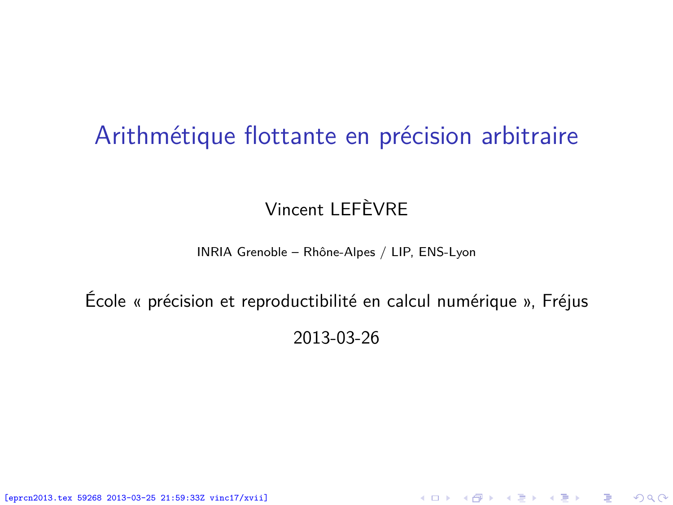### Arithmétique flottante en précision arbitraire

#### Vincent LEFÈVRE

#### INRIA Grenoble – Rhône-Alpes / LIP, ENS-Lyon

## École « précision et reproductibilité en calcul numérique », Fréjus 2013-03-26

<span id="page-0-0"></span>K ロ ▶ K @ ▶ K 할 ▶ K 할 ▶ 이 할 → 900

[eprcn2013.tex 59268 2013-03-25 21:59:33Z vinc17/xvii]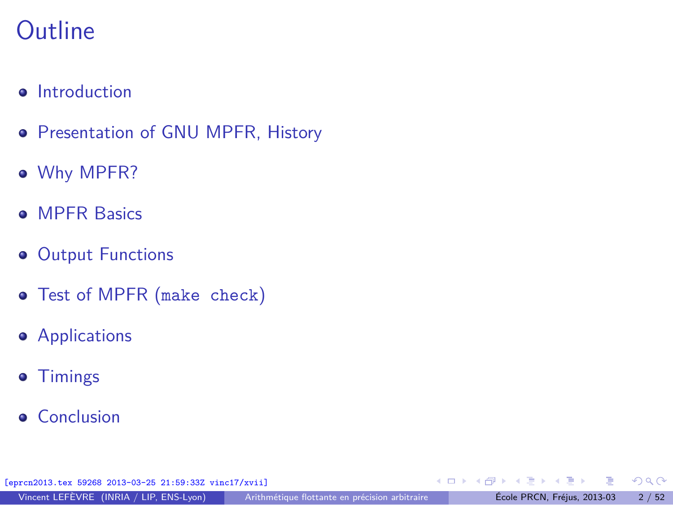## **Outline**

- **•** [Introduction](#page-2-0)
- **[Presentation of GNU MPFR, History](#page-7-0)**
- [Why MPFR?](#page-10-0)
- **[MPFR Basics](#page-24-0)**
- **[Output Functions](#page-31-0)**
- [Test of MPFR \(](#page-34-0)make check)
- **•** [Applications](#page-39-0)
- **•** [Timings](#page-56-0)
- **•** [Conclusion](#page-58-0)

[eprcn2013.tex 59268 2013-03-25 21:59:33Z vinc17/xvii]

活

 $\left\{ \begin{array}{ccc} 1 & 0 & 0 \\ 0 & 1 & 0 \end{array} \right.$  ,  $\left\{ \begin{array}{ccc} \frac{1}{2} & 0 & 0 \\ 0 & 0 & 0 \end{array} \right.$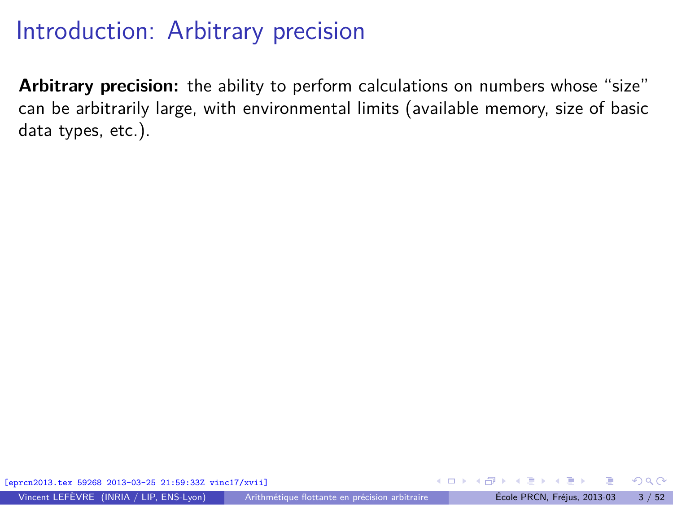**Arbitrary precision:** the ability to perform calculations on numbers whose "size" can be arbitrarily large, with environmental limits (available memory, size of basic data types, etc.).

<span id="page-2-0"></span> $\Omega$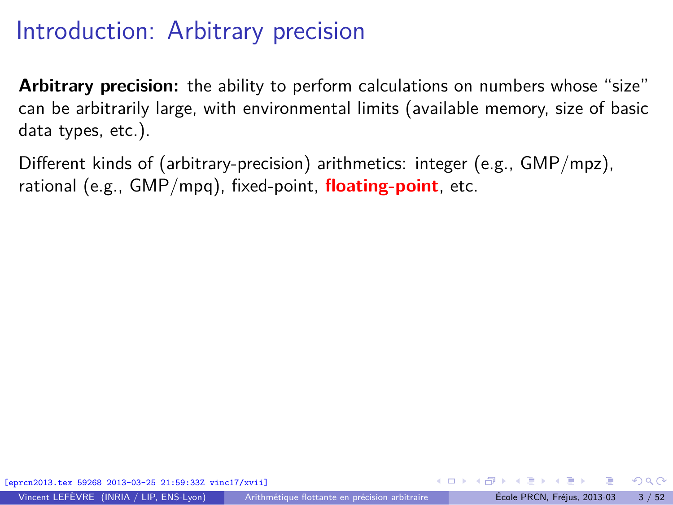**Arbitrary precision:** the ability to perform calculations on numbers whose "size" can be arbitrarily large, with environmental limits (available memory, size of basic data types, etc.).

Different kinds of (arbitrary-precision) arithmetics: integer (e.g., GMP/mpz), rational (e.g., GMP/mpq), fixed-point, **floating-point**, etc.

[eprcn2013.tex 59268 2013-03-25 21:59:33Z vinc17/xvii]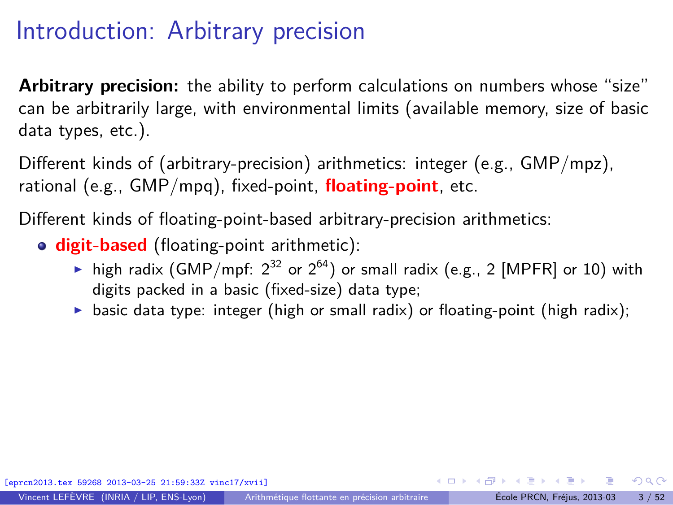**Arbitrary precision:** the ability to perform calculations on numbers whose "size" can be arbitrarily large, with environmental limits (available memory, size of basic data types, etc.).

Different kinds of (arbitrary-precision) arithmetics: integer (e.g., GMP/mpz), rational (e.g., GMP/mpq), fixed-point, **floating-point**, etc.

Different kinds of floating-point-based arbitrary-precision arithmetics:

- **digit-based** (floating-point arithmetic):
	- ightharpoonthing high radix (GMP/mpf:  $2^{32}$  or  $2^{64}$ ) or small radix (e.g., 2 [MPFR] or 10) with digits packed in a basic (fixed-size) data type;
	- $\triangleright$  basic data type: integer (high or small radix) or floating-point (high radix);

 $\Omega$ 

 $\left\{ \begin{array}{ccc} \square & \times & \overline{c} & \overline{c} & \rightarrow & \overline{c} & \rightarrow & \overline{c} & \rightarrow & \overline{c} & \rightarrow & \overline{c} & \rightarrow & \overline{c} & \rightarrow & \overline{c} & \rightarrow & \overline{c} & \rightarrow & \overline{c} & \rightarrow & \overline{c} & \rightarrow & \overline{c} & \rightarrow & \overline{c} & \rightarrow & \overline{c} & \rightarrow & \overline{c} & \rightarrow & \overline{c} & \rightarrow & \overline{c} & \rightarrow & \overline{c} & \rightarrow & \overline{c} & \rightarrow & \overline{c} & \rightarrow & \overline{c}$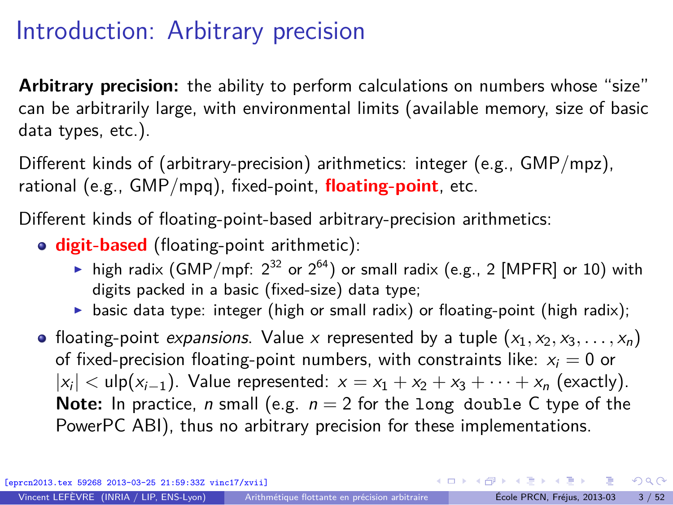**Arbitrary precision:** the ability to perform calculations on numbers whose "size" can be arbitrarily large, with environmental limits (available memory, size of basic data types, etc.).

Different kinds of (arbitrary-precision) arithmetics: integer (e.g., GMP/mpz), rational (e.g., GMP/mpq), fixed-point, **floating-point**, etc.

Different kinds of floating-point-based arbitrary-precision arithmetics:

**digit-based** (floating-point arithmetic):

- ightharpoonthing high radix (GMP/mpf:  $2^{32}$  or  $2^{64}$ ) or small radix (e.g., 2 [MPFR] or 10) with digits packed in a basic (fixed-size) data type;
- basic data type: integer (high or small radix) or floating-point (high radix);
- floating-point expansions. Value x represented by a tuple  $(x_1, x_2, x_3, \ldots, x_n)$ of fixed-precision floating-point numbers, with constraints like:  $x_i = 0$  or  $|x_i| < u$ lp $(x_{i-1})$ . Value represented:  $x = x_1 + x_2 + x_3 + \cdots + x_n$  (exactly). **Note:** In practice, *n* small (e.g.  $n = 2$  for the long double C type of the PowerPC ABI), thus no arbitrary precision for these implementations.

[eprcn2013.tex 59268 2013-03-25 21:59:33Z vinc17/xvii]

 $QQ$ 

 $\mathbf{A} \oplus \mathbf{A} \rightarrow \mathbf{A} \oplus \mathbf{A} \rightarrow \mathbf{A} \oplus \mathbf{A} \rightarrow \mathbf{A} \oplus \mathbf{A}$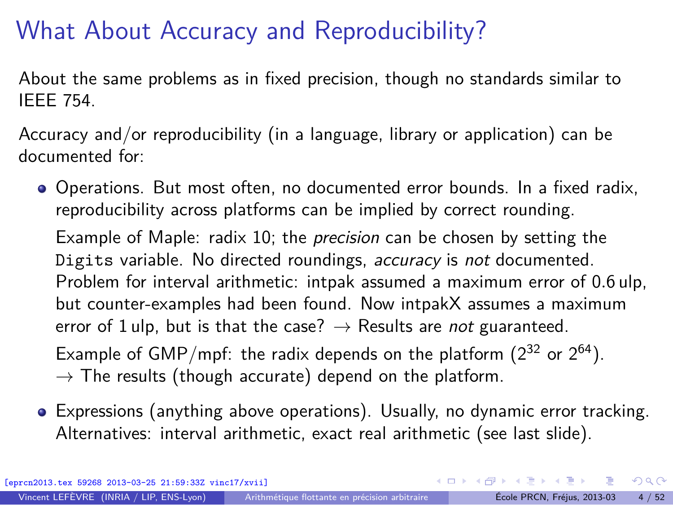## What About Accuracy and Reproducibility?

About the same problems as in fixed precision, though no standards similar to IEEE 754.

Accuracy and/or reproducibility (in a language, library or application) can be documented for:

Operations. But most often, no documented error bounds. In a fixed radix, reproducibility across platforms can be implied by correct rounding.

Example of Maple: radix 10; the *precision* can be chosen by setting the Digits variable. No directed roundings, accuracy is not documented. Problem for interval arithmetic: intpak assumed a maximum error of 0*.*6 ulp, but counter-examples had been found. Now intpakX assumes a maximum error of 1 ulp, but is that the case?  $\rightarrow$  Results are not guaranteed. Example of GMP/mpf: the radix depends on the platform  $(2^{32}$  or  $2^{64})$ .

- $\rightarrow$  The results (though accurate) depend on the platform.
- Expressions (anything above operations). Usually, no dynamic error tracking. Alternatives: interval arithmetic, exact real arithmetic (see last slide).

[eprcn2013.tex 59268 2013-03-25 21:59:33Z vinc17/xvii]

 $\Omega$ 

イロト イ押 トイヨ トイヨ トー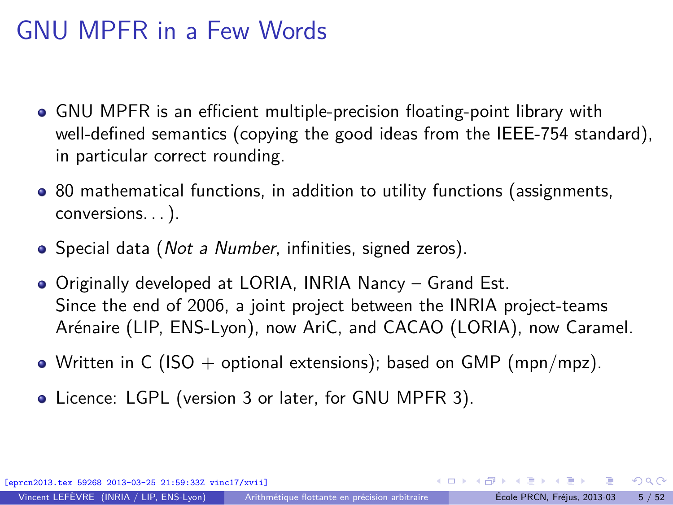## GNU MPFR in a Few Words

- GNU MPFR is an efficient multiple-precision floating-point library with well-defined semantics (copying the good ideas from the IEEE-754 standard), in particular correct rounding.
- 80 mathematical functions, in addition to utility functions (assignments, conversions. . . ).
- Special data (*Not a Number*, infinities, signed zeros).
- Originally developed at LORIA, INRIA Nancy Grand Est. Since the end of 2006, a joint project between the INRIA project-teams Arénaire (LIP, ENS-Lyon), now AriC, and CACAO (LORIA), now Caramel.
- Written in C (ISO + optional extensions); based on GMP (mpn/mpz).
- Licence: LGPL (version 3 or later, for GNU MPFR 3).

[eprcn2013.tex 59268 2013-03-25 21:59:33Z vinc17/xvii]

<span id="page-7-0"></span> $\Omega$ 

 $A \equiv \mathbf{1} + \mathbf{1} \oplus \mathbf{1} + \mathbf{1} \oplus \mathbf{1} + \mathbf{1} \oplus \mathbf{1} + \mathbf{1} \oplus \mathbf{1} + \mathbf{1} \oplus \mathbf{1} + \mathbf{1} \oplus \mathbf{1} + \mathbf{1} \oplus \mathbf{1} + \mathbf{1} \oplus \mathbf{1} + \mathbf{1} \oplus \mathbf{1} + \mathbf{1} \oplus \mathbf{1} + \mathbf{1} \oplus \mathbf{1} + \mathbf{1} \oplus \mathbf{1} + \mathbf{1} \oplus \mathbf{1} + \math$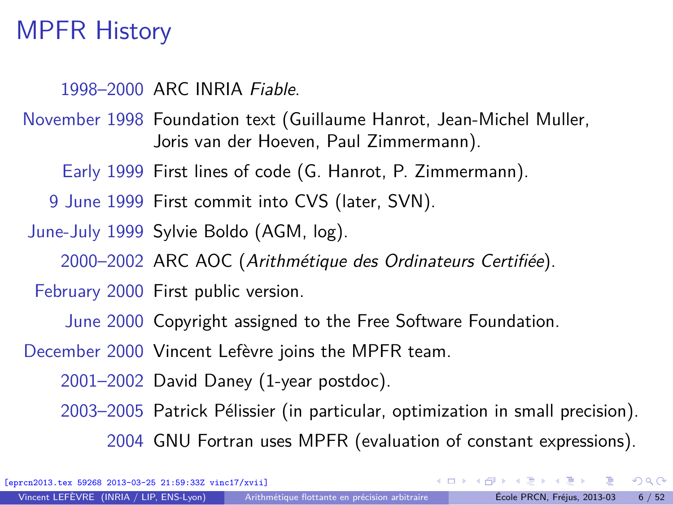## MPFR History

1998–2000 ARC INRIA Fiable.

November 1998 Foundation text (Guillaume Hanrot, Jean-Michel Muller, Joris van der Hoeven, Paul Zimmermann).

Early 1999 First lines of code (G. Hanrot, P. Zimmermann).

9 June 1999 First commit into CVS (later, SVN).

June-July 1999 Sylvie Boldo (AGM, log).

2000–2002 ARC AOC (Arithmétique des Ordinateurs Certifiée).

February 2000 First public version.

June 2000 Copyright assigned to the Free Software Foundation.

December 2000 Vincent Lefèvre joins the MPFR team.

2001–2002 David Daney (1-year postdoc).

2003–2005 Patrick Pélissier (in particular, optimization in small precision). 2004 GNU Fortran uses MPFR (evaluation of constant expressions).

[eprcn2013.tex 59268 2013-03-25 21:59:33Z vinc17/xvii]

 $\Omega$ 

イロト イ押 トイヨ トイヨト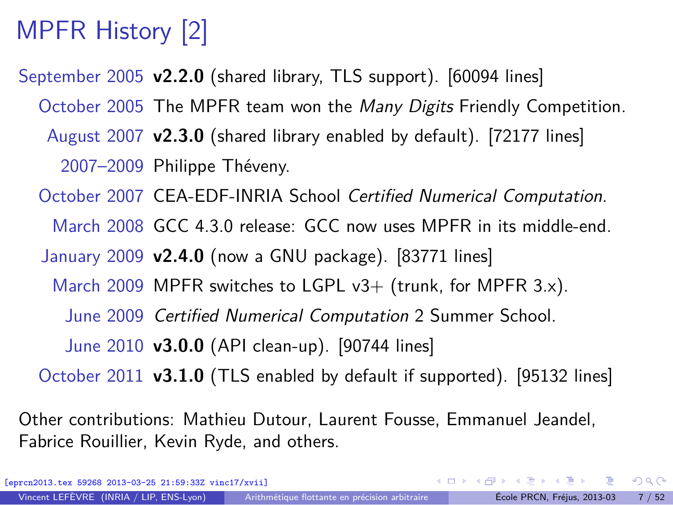# MPFR History [2]

September 2005 **v2.2.0** (shared library, TLS support). [60094 lines]

October 2005 The MPFR team won the Many Digits Friendly Competition.

August 2007 **v2.3.0** (shared library enabled by default). [72177 lines]

2007–2009 Philippe Théveny.

October 2007 CEA-EDF-INRIA School Certified Numerical Computation.

March 2008 GCC 4.3.0 release: GCC now uses MPFR in its middle-end.

January 2009 **v2.4.0** (now a GNU package). [83771 lines]

March 2009 MPFR switches to LGPL  $v3+$  (trunk, for MPFR 3.x).

June 2009 Certified Numerical Computation 2 Summer School.

June 2010 **v3.0.0** (API clean-up). [90744 lines]

October 2011 **v3.1.0** (TLS enabled by default if supported). [95132 lines]

Other contributions: Mathieu Dutour, Laurent Fousse, Emmanuel Jeandel, Fabrice Rouillier, Kevin Ryde, and others.

[eprcn2013.tex 59268 2013-03-25 21:59:33Z vinc17/xvii]

目

 $\Omega$ 

イロト イ押 トイヨ トイヨ トー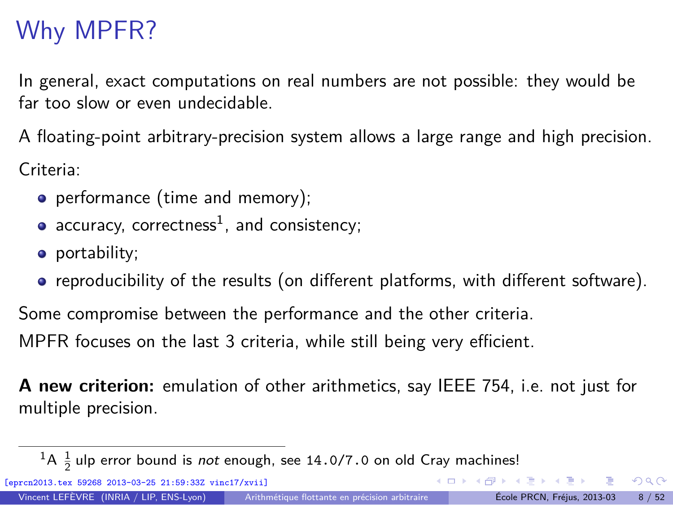## Why MPFR?

In general, exact computations on real numbers are not possible: they would be far too slow or even undecidable.

A floating-point arbitrary-precision system allows a large range and high precision. Criteria:

- performance (time and memory);
- $accuracy,$   $correctness<sup>1</sup>,$  and  $consistency;$
- portability;
- reproducibility of the results (on different platforms, with different software).

Some compromise between the performance and the other criteria. MPFR focuses on the last 3 criteria, while still being very efficient.

**A new criterion:** emulation of other arithmetics, say IEEE 754, i.e. not just for multiple precision.

[eprcn2013.tex 59268 2013-03-25 21:59:33Z vinc17/xvii]

<span id="page-10-0"></span> $QQ$ 

 $\left\{ \begin{array}{ccc} \square & \times & \overline{c} & \overline{c} & \rightarrow & \overline{c} & \rightarrow & \overline{c} & \rightarrow & \overline{c} & \rightarrow & \overline{c} & \rightarrow & \overline{c} & \rightarrow & \overline{c} & \rightarrow & \overline{c} & \rightarrow & \overline{c} & \rightarrow & \overline{c} & \rightarrow & \overline{c} & \rightarrow & \overline{c} & \rightarrow & \overline{c} & \rightarrow & \overline{c} & \rightarrow & \overline{c} & \rightarrow & \overline{c} & \rightarrow & \overline{c} & \rightarrow & \overline{c} & \rightarrow & \overline{c} & \rightarrow & \overline{c}$ 

 ${}^{1}$ A  ${}^{1}_{2}$ ulp error bound is *not* enough, see 14.0/7.0 on old Cray machines!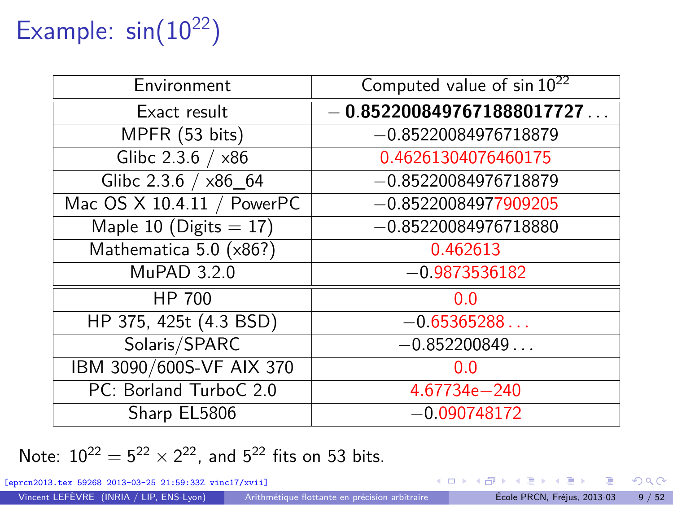# Example:  $sin(10^{22})$

| Environment                | Computed value of $sin 10^{22}$ |
|----------------------------|---------------------------------|
| Exact result               | $-0.8522008497671888017727$     |
| MPFR (53 bits)             | $-0.85220084976718879$          |
| Glibc $2.3.6 / x86$        | 0.46261304076460175             |
| Glibc 2.3.6 / x86 64       | $-0.85220084976718879$          |
| Mac OS X 10.4.11 / PowerPC | $-0.85220084977909205$          |
| Maple 10 (Digits $= 17$ )  | $-0.85220084976718880$          |
| Mathematica 5.0 (x86?)     | 0.462613                        |
| MuPAD 3.2.0                | $-0.9873536182$                 |
| HP 700                     | 0.0                             |
| HP 375, 425t (4.3 BSD)     | $-0.65365288$                   |
| Solaris/SPARC              | $-0.852200849$                  |
| IBM 3090/600S-VF AIX 370   | 0.0                             |
| PC: Borland TurboC 2.0     | 4.67734e-240                    |
| Sharp EL5806               | $-0.090748172$                  |

Note:  $10^{22} = 5^{22} \times 2^{22}$ , and  $5^{22}$  fits on 53 bits.

[eprcn2013.tex 59268 2013-03-25 21:59:33Z vinc17/xvii]

э

 $299$ 

メロメ メ御 メメ ヨメ メヨメ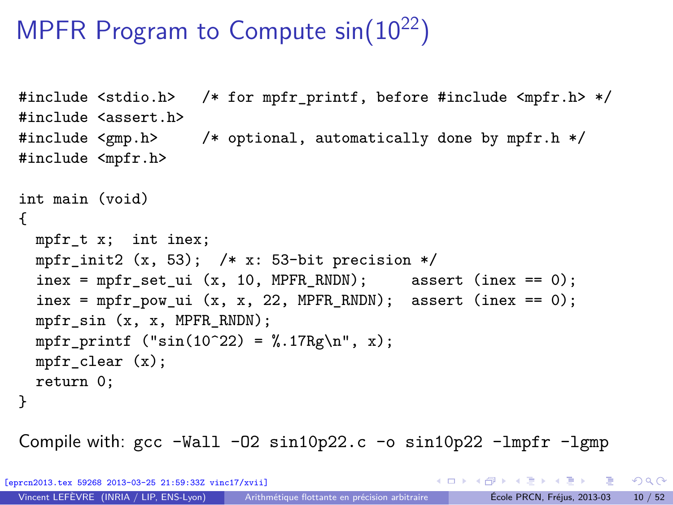## MPFR Program to Compute  $sin(10^{22})$

```
#include <stdio.h> /* for mpfr_printf, before #include <mpfr.h> */
#include <assert.h>
#include <gmp.h> /* optional, automatically done by mpfr.h */
#include <mpfr.h>
int main (void)
{
 mpfr_t x; int inex;
  mpfr init2 (x, 53); /* x: 53-bit precision */
  \text{inex} = \text{mpfr}\_\text{set}\_\text{ui} (x, 10, MPFR_RNDN); assert (inex == 0);
  \text{index} = \text{mpfr\_pow\_ui} (x, x, 22, MPFR_RNDN); assert (inex == 0);
 mpfr_sin (x, x, MPFR_RNDN);
 mpfr_printf ("sin(10^22) = % .17Rg\n", x);mpfr clear (x);
 return 0;
}
```
Compile with:  $\text{gcc -Wall } -02 \sin 10p22$ .  $\text{c}$  -o  $\sin 10p22$  -lmpfr -lgmp

[eprcn2013.tex 59268 2013-03-25 21:59:33Z vinc17/xvii]

KED KARD KED KED E VOOR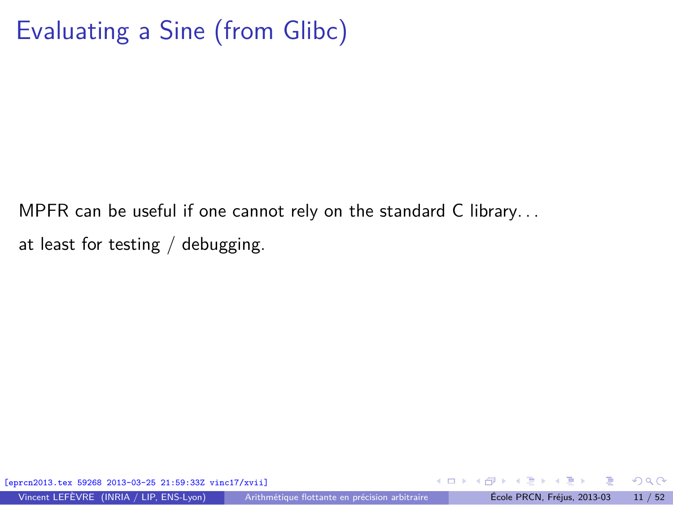## Evaluating a Sine (from Glibc)

MPFR can be useful if one cannot rely on the standard C library. . . at least for testing / debugging.

[eprcn2013.tex 59268 2013-03-25 21:59:33Z vinc17/xvii]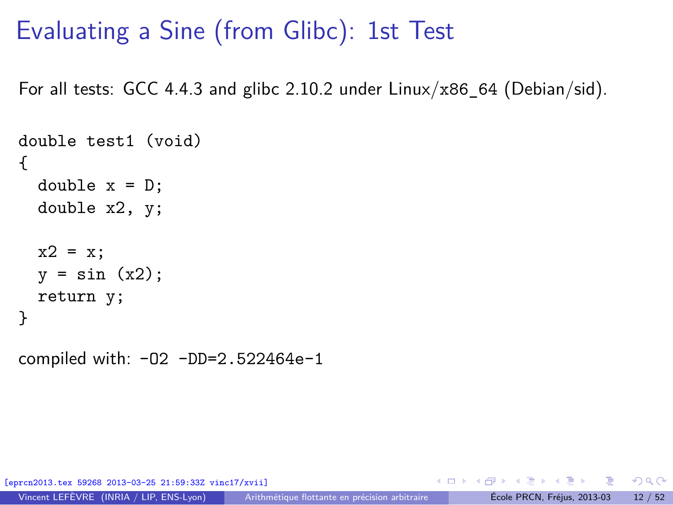## Evaluating a Sine (from Glibc): 1st Test

For all tests: GCC 4.4.3 and glibc 2.10.2 under  $Linux/x86$  64 (Debian/sid).

```
double test1 (void)
{
 double x = D;
  double x2, y;
  x2 = x;y = sin(x2);return y;
}
```
compiled with: -O2 -DD=2.522464e-1

[eprcn2013.tex 59268 2013-03-25 21:59:33Z vinc17/xvii]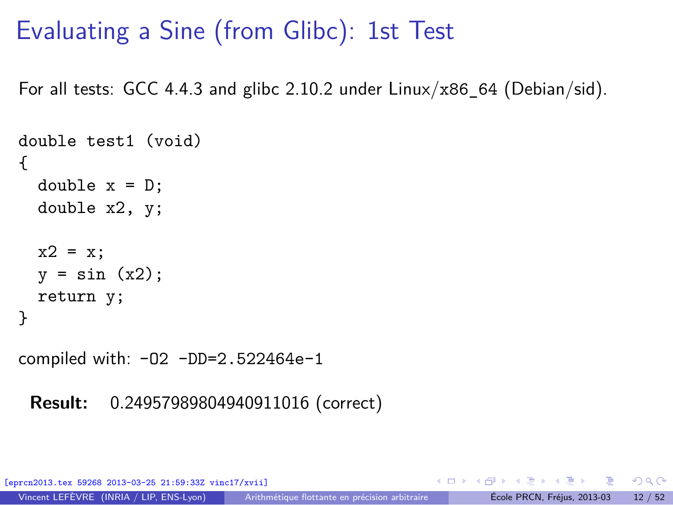## Evaluating a Sine (from Glibc): 1st Test

For all tests: GCC 4.4.3 and glibc 2.10.2 under  $Linux/x86$  64 (Debian/sid).

```
double test1 (void)
{
  double x = D;
  double x2, y;
  x2 = x;y = \sin(x2):
  return y;
}
```
compiled with: -O2 -DD=2.522464e-1

**Result:** 0*.*24957989804940911016 (correct)

[eprcn2013.tex 59268 2013-03-25 21:59:33Z vinc17/xvii]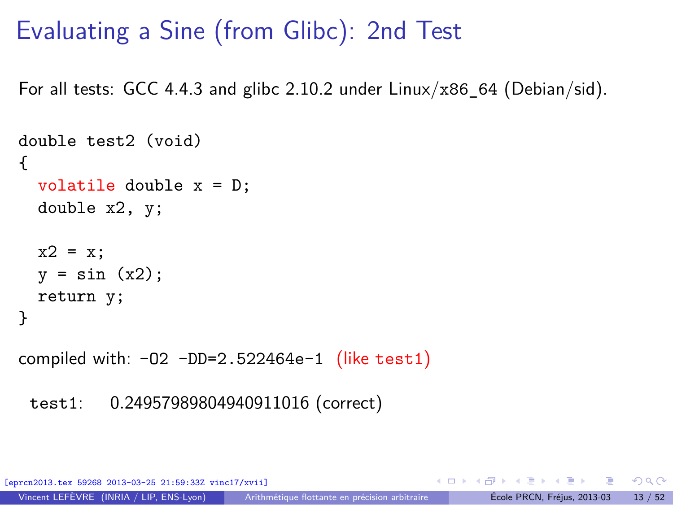## Evaluating a Sine (from Glibc): 2nd Test

For all tests: GCC 4.4.3 and glibc 2.10.2 under  $Linux/x86$  64 (Debian/sid).

```
double test2 (void)
{
 volatile double x = D;
 double x2, y;
 x2 = x;y = sin(x2);return y;
}
```
compiled with:  $-02 - DD=2.522464e-1$  (like test1)

```
test1: 0.24957989804940911016 (correct)
```
[eprcn2013.tex 59268 2013-03-25 21:59:33Z vinc17/xvii]

目

 $\Omega$ 

イロト イ何 トイヨ トイヨト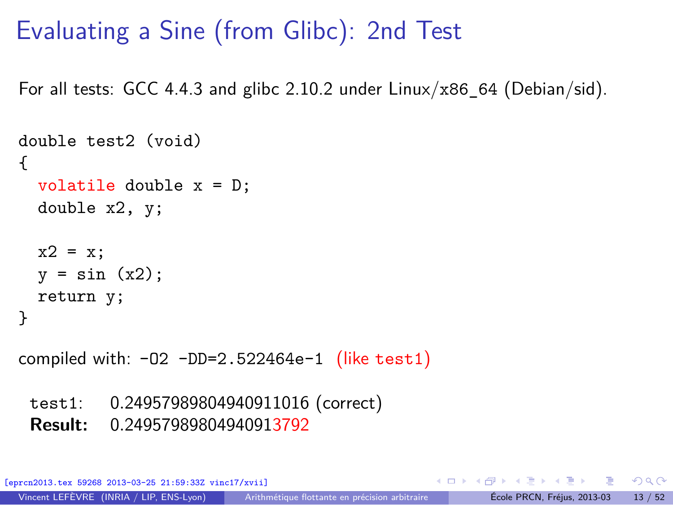## Evaluating a Sine (from Glibc): 2nd Test

For all tests: GCC 4.4.3 and glibc 2.10.2 under  $Linux/x86$  64 (Debian/sid).

```
double test2 (void)
{
 volatile double x = D;
 double x2, y;
 x2 = x:
 y = sin(x2);return y;
}
```
compiled with:  $-02$   $-DD=2.522464e-1$  (like test1)

test1: 0*.*24957989804940911016 (correct)

**Result:** 0*.*24957989804940913792

[eprcn2013.tex 59268 2013-03-25 21:59:33Z vinc17/xvii]

目

 $\Omega$ 

イロト イ何 トイヨ トイヨト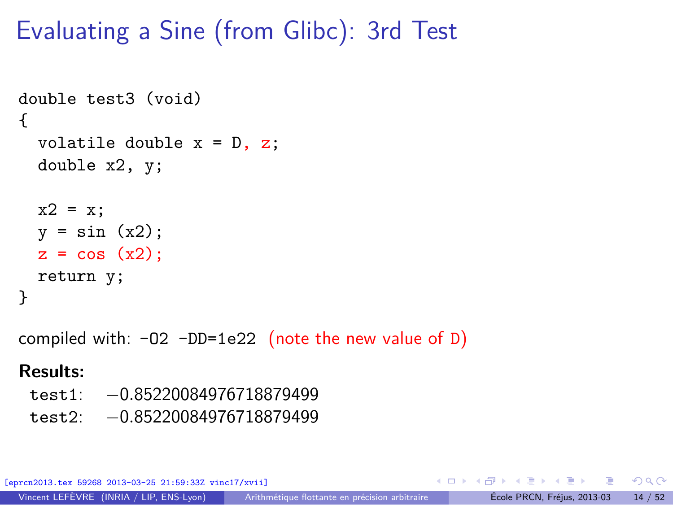## Evaluating a Sine (from Glibc): 3rd Test

```
double test3 (void)
{
  volatile double x = D, z;
  double x2, y;
 x2 = x;y = sin(x2);z = cos(x2);return y;
}
compiled with: -02 -DD=1e22 (note the new value of D)
Results:
```
test1: −0*.*85220084976718879499 test2: −0*.*85220084976718879499

[eprcn2013.tex 59268 2013-03-25 21:59:33Z vinc17/xvii]

目

 $\Omega$ 

イロト イ押 トイヨ トイヨト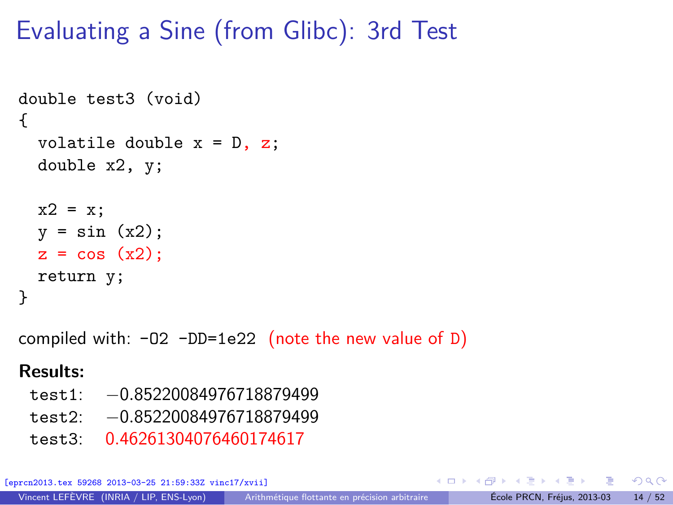## Evaluating a Sine (from Glibc): 3rd Test

```
double test3 (void)
{
 volatile double x = D, z;
 double x2, y;
 x2 = x;y = sin(x2);z = cos(x2);return y;
}
```
compiled with:  $-02$   $-DD=1e22$  (note the new value of D)

#### **Results:**

- test1: −0*.*85220084976718879499
- test2: −0*.*85220084976718879499
- test3: 0*.*46261304076460174617

[eprcn2013.tex 59268 2013-03-25 21:59:33Z vinc17/xvii]

目

 $\Omega$ 

イロト イ押 トイヨ トイヨト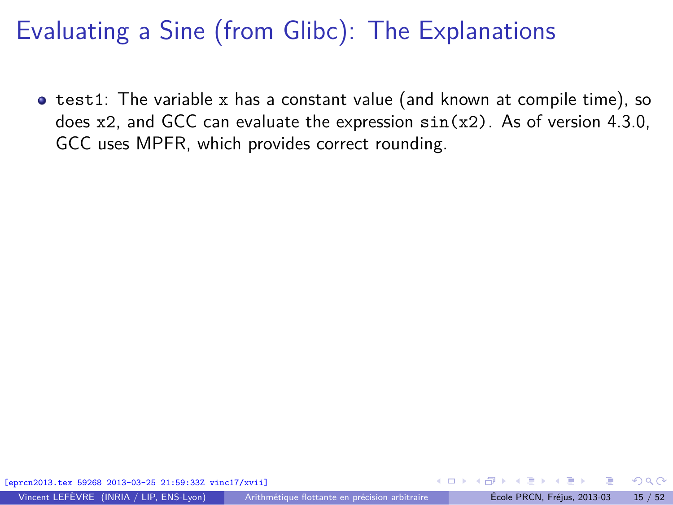**•** test1: The variable x has a constant value (and known at compile time), so does  $x2$ , and GCC can evaluate the expression  $sin(x2)$ . As of version 4.3.0, GCC uses MPFR, which provides correct rounding.

[eprcn2013.tex 59268 2013-03-25 21:59:33Z vinc17/xvii]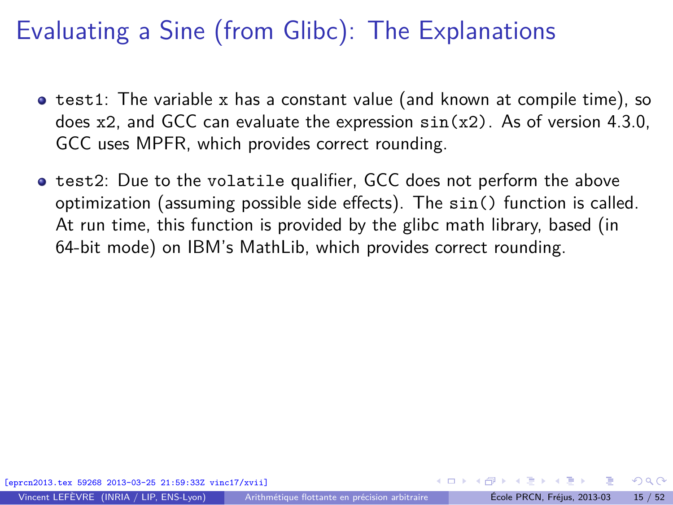- $\bullet$  test1: The variable x has a constant value (and known at compile time), so does  $x2$ , and GCC can evaluate the expression  $sin(x2)$ . As of version 4.3.0, GCC uses MPFR, which provides correct rounding.
- **•** test2: Due to the volatile qualifier, GCC does not perform the above optimization (assuming possible side effects). The sin() function is called. At run time, this function is provided by the glibc math library, based (in 64-bit mode) on IBM's MathLib, which provides correct rounding.

 $\Omega$ 

イロト イ押 トイヨ トイヨト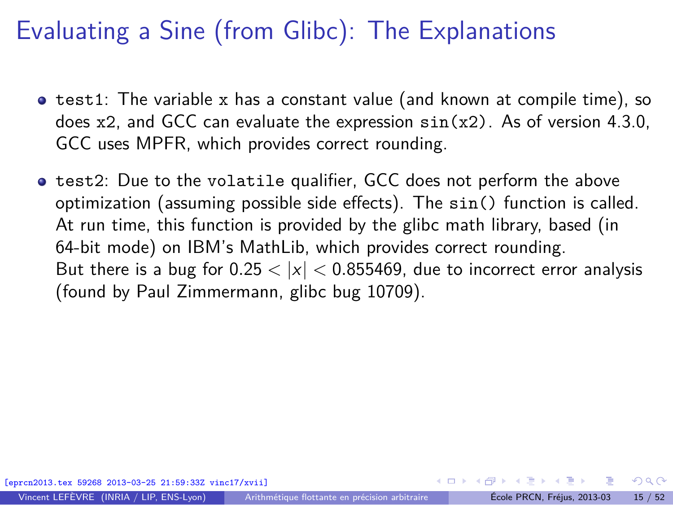- $\bullet$  test1: The variable x has a constant value (and known at compile time), so does  $x2$ , and GCC can evaluate the expression  $sin(x2)$ . As of version 4.3.0, GCC uses MPFR, which provides correct rounding.
- **•** test2: Due to the volatile qualifier, GCC does not perform the above optimization (assuming possible side effects). The sin() function is called. At run time, this function is provided by the glibc math library, based (in 64-bit mode) on IBM's MathLib, which provides correct rounding. But there is a bug for  $0.25 < |x| < 0.855469$ , due to incorrect error analysis (found by Paul Zimmermann, [glibc bug 10709\)](http://sourceware.org/bugzilla/show_bug.cgi?id=10709).

 $\Omega$ 

イロト イ何 トイヨ トイヨト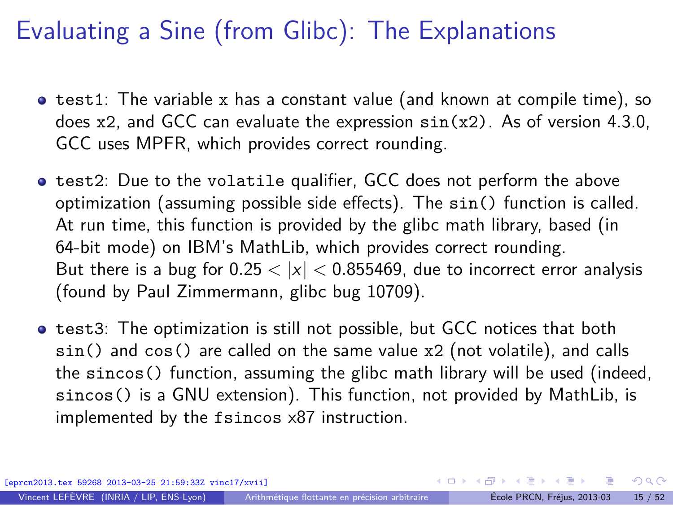- $\bullet$  test1: The variable x has a constant value (and known at compile time), so does  $x2$ , and GCC can evaluate the expression  $sin(x2)$ . As of version 4.3.0, GCC uses MPFR, which provides correct rounding.
- **•** test2: Due to the volatile qualifier, GCC does not perform the above optimization (assuming possible side effects). The sin() function is called. At run time, this function is provided by the glibc math library, based (in 64-bit mode) on IBM's MathLib, which provides correct rounding. But there is a bug for  $0.25 < |x| < 0.855469$ , due to incorrect error analysis (found by Paul Zimmermann, [glibc bug 10709\)](http://sourceware.org/bugzilla/show_bug.cgi?id=10709).
- **•** test3: The optimization is still not possible, but GCC notices that both sin() and cos() are called on the same value x2 (not volatile), and calls the sincos() function, assuming the glibc math library will be used (indeed, sincos() is a GNU extension). This function, not provided by MathLib, is implemented by the fsincos x87 instruction.

[eprcn2013.tex 59268 2013-03-25 21:59:33Z vinc17/xvii]

 $\Omega$ 

 $\left\{ \begin{array}{ccc} \square & \times & \overline{c} & \overline{c} & \rightarrow & \overline{c} & \rightarrow & \overline{c} & \rightarrow & \overline{c} & \rightarrow & \overline{c} & \rightarrow & \overline{c} & \rightarrow & \overline{c} & \rightarrow & \overline{c} & \rightarrow & \overline{c} & \rightarrow & \overline{c} & \rightarrow & \overline{c} & \rightarrow & \overline{c} & \rightarrow & \overline{c} & \rightarrow & \overline{c} & \rightarrow & \overline{c} & \rightarrow & \overline{c} & \rightarrow & \overline{c} & \rightarrow & \overline{c} & \rightarrow & \overline{c} & \rightarrow & \overline{c}$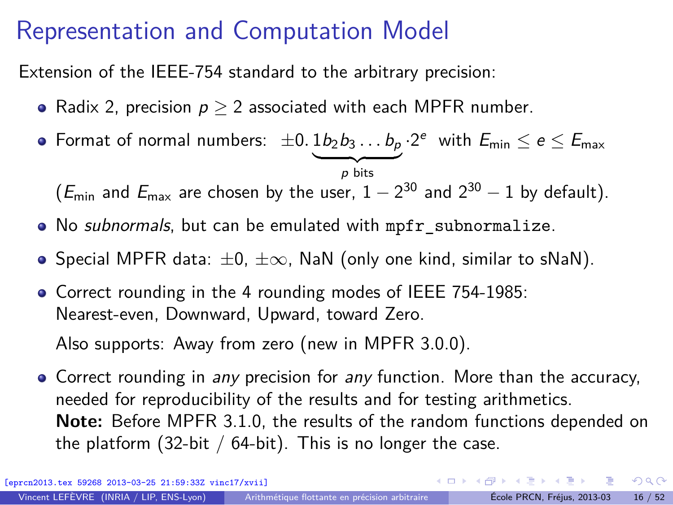## Representation and Computation Model

Extension of the IEEE-754 standard to the arbitrary precision:

- Radix 2, precision  $p > 2$  associated with each MPFR number.
- Format of normal numbers:  $\pm 0.1b_2b_3 \ldots b_p$ p bits  $-2^e$  with  $E_{\text{min}} \le e \le E_{\text{max}}$

 $(E_{\text{min}}$  and  $E_{\text{max}}$  are chosen by the user,  $1-2^{30}$  and  $2^{30}-1$  by default).

- No subnormals, but can be emulated with mpfr\_subnormalize.
- $\bullet$  Special MPFR data:  $\pm 0$ ,  $\pm \infty$ , NaN (only one kind, similar to sNaN).
- Correct rounding in the 4 rounding modes of IEEE 754-1985: Nearest-even, Downward, Upward, toward Zero.

Also supports: Away from zero (new in MPFR 3.0.0).

• Correct rounding in any precision for any function. More than the accuracy, needed for reproducibility of the results and for testing arithmetics. **Note:** Before MPFR 3.1.0, the results of the random functions depended on the platform (32-bit /  $64$ -bit). This is no longer the case.

[eprcn2013.tex 59268 2013-03-25 21:59:33Z vinc17/xvii]

<span id="page-24-0"></span> $\Omega$ 

 $\left\{ \begin{array}{ccc} \square & \times & \overline{c} & \overline{c} & \rightarrow & \overline{c} & \rightarrow & \overline{c} & \rightarrow & \overline{c} & \rightarrow & \overline{c} & \rightarrow & \overline{c} & \rightarrow & \overline{c} & \rightarrow & \overline{c} & \rightarrow & \overline{c} & \rightarrow & \overline{c} & \rightarrow & \overline{c} & \rightarrow & \overline{c} & \rightarrow & \overline{c} & \rightarrow & \overline{c} & \rightarrow & \overline{c} & \rightarrow & \overline{c} & \rightarrow & \overline{c} & \rightarrow & \overline{c} & \rightarrow & \overline{c} & \rightarrow & \overline{c}$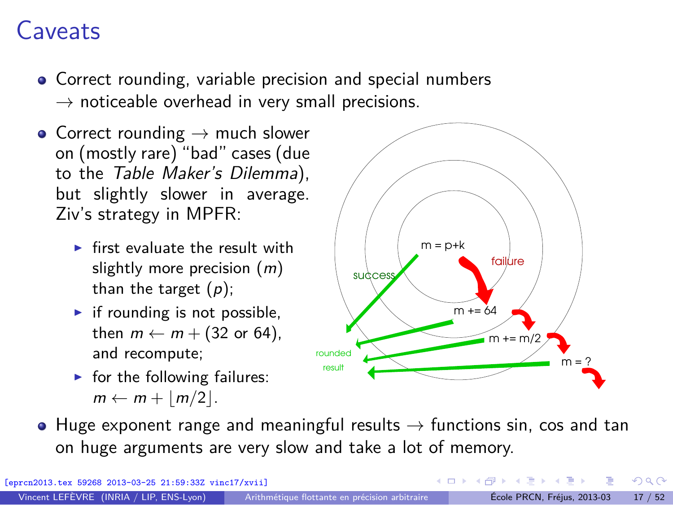## Caveats

- Correct rounding, variable precision and special numbers  $\rightarrow$  noticeable overhead in very small precisions.
- Correct rounding  $\rightarrow$  much slower on (mostly rare) "bad" cases (due to the Table Maker's Dilemma), but slightly slower in average. Ziv's strategy in MPFR:
	- $\triangleright$  first evaluate the result with slightly more precision  $(m)$ than the target  $(p)$ ;
	- $\blacktriangleright$  if rounding is not possible, then  $m \leftarrow m + (32 \text{ or } 64)$ , and recompute;
	- $\blacktriangleright$  for the following failures:  $m \leftarrow m + |m/2|$ .



 $\bullet$  Huge exponent range and meaningful results  $\rightarrow$  functions sin, cos and tan on huge arguments are very slow and take a lot of memory.

[eprcn2013.tex 59268 2013-03-25 21:59:33Z vinc17/xvii]

 $\Omega$ 

∢ロト ∢伺 ト ∢ ヨ ト ∢ ヨ ト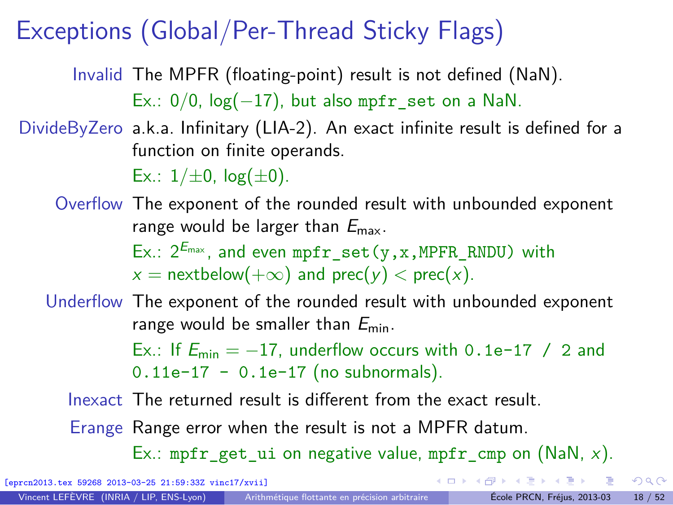## Exceptions (Global/Per-Thread Sticky Flags)

Invalid The MPFR (floating-point) result is not defined (NaN). Ex.:  $0/0$ ,  $log(-17)$ , but also mpfr set on a NaN.

DivideByZero a.k.a. Infinitary (LIA-2). An exact infinite result is defined for a function on finite operands.

Ex.:  $1/\pm 0$ ,  $log(\pm 0)$ .

Overflow The exponent of the rounded result with unbounded exponent range would be larger than  $E_{\text{max}}$ . Ex.:  $2^{E_{\text{max}}}$ , and even mpfr\_set(y,x,MPFR\_RNDU) with  $x =$  nextbelow( $+\infty$ ) and prec( $y$ ) < prec(x).

Underflow The exponent of the rounded result with unbounded exponent range would be smaller than  $E_{\text{min}}$ .

> Ex.: If  $E_{\text{min}} = -17$ , underflow occurs with 0.1e-17 / 2 and  $0.11e-17 - 0.1e-17$  (no subnormals).

Inexact The returned result is different from the exact result.

Erange Range error when the result is not a MPFR datum.

Ex.: mpfr get ui on negative value, mpfr cmp on (NaN, x).

[eprcn2013.tex 59268 2013-03-25 21:59:33Z vinc17/xvii]

 $QQ$ 

 $\left\{ \begin{array}{ccc} \square & \times & \overline{c} & \overline{c} & \rightarrow & \overline{c} & \rightarrow & \overline{c} & \rightarrow & \overline{c} & \rightarrow & \overline{c} & \rightarrow & \overline{c} & \rightarrow & \overline{c} & \rightarrow & \overline{c} & \rightarrow & \overline{c} & \rightarrow & \overline{c} & \rightarrow & \overline{c} & \rightarrow & \overline{c} & \rightarrow & \overline{c} & \rightarrow & \overline{c} & \rightarrow & \overline{c} & \rightarrow & \overline{c} & \rightarrow & \overline{c} & \rightarrow & \overline{c} & \rightarrow & \overline{c} & \rightarrow & \overline{c}$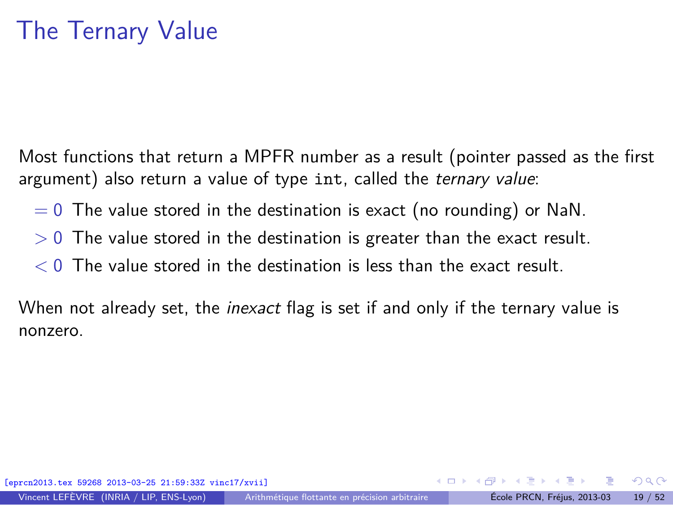Most functions that return a MPFR number as a result (pointer passed as the first argument) also return a value of type int, called the ternary value:

- $= 0$  The value stored in the destination is exact (no rounding) or NaN.
- *>* 0 The value stored in the destination is greater than the exact result.
- *<* 0 The value stored in the destination is less than the exact result.

When not already set, the *inexact* flag is set if and only if the ternary value is nonzero.

 $\Omega$ 

イロト イ押 トイヨ トイヨト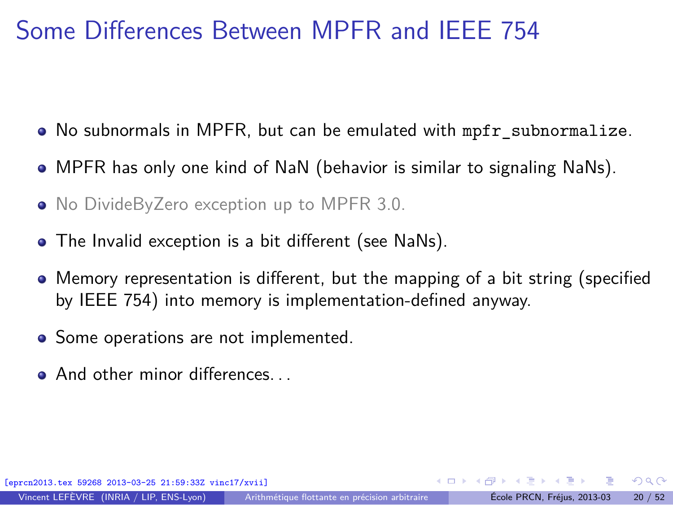## Some Differences Between MPFR and IEEE 754

- No subnormals in MPFR, but can be emulated with mpfr subnormalize.
- MPFR has only one kind of NaN (behavior is similar to signaling NaNs).
- No DivideByZero exception up to MPFR 3.0.
- The Invalid exception is a bit different (see NaNs).
- Memory representation is different, but the mapping of a bit string (specified by IEEE 754) into memory is implementation-defined anyway.
- Some operations are not implemented.
- **And other minor differences**

[eprcn2013.tex 59268 2013-03-25 21:59:33Z vinc17/xvii]

 $\Omega$ 

∢ロト ∢伺 ト ∢ ヨ ト ∢ ヨ ト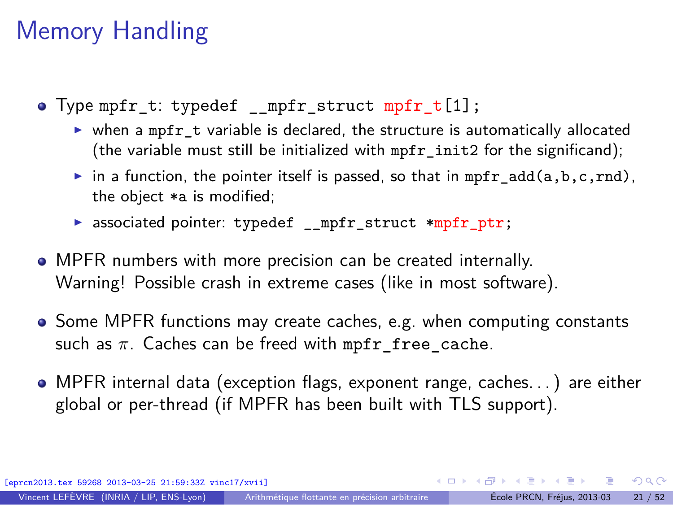## Memory Handling

- Type mpfr t: typedef mpfr struct mpfr  $t[1]$ ;
	- ▶ when a mpfr\_t variable is declared, the structure is automatically allocated (the variable must still be initialized with mpfr\_init2 for the significand);
	- in a function, the pointer itself is passed, so that in mpfr\_add(a,b,c,rnd), the object \*a is modified;
	- ▶ associated pointer: typedef \_\_mpfr\_struct \*mpfr\_ptr;
- MPFR numbers with more precision can be created internally. Warning! Possible crash in extreme cases (like in most software).
- Some MPFR functions may create caches, e.g. when computing constants such as  $\pi$ . Caches can be freed with mpfr free cache.
- MPFR internal data (exception flags, exponent range, caches. . . ) are either global or per-thread (if MPFR has been built with TLS support).

[eprcn2013.tex 59268 2013-03-25 21:59:33Z vinc17/xvii]

Vincent LEFÈVRE (INRIA / LIP, ENS-Lyon) [Arithmétique flottante en précision arbitraire](#page-0-0) École PRCN, Fréjus, 2013-03 21 / 52

 $\Omega$ 

 $\left\{ \begin{array}{ccc} \square & \times & \overline{c} & \overline{c} & \rightarrow & \overline{c} & \rightarrow & \overline{c} & \rightarrow & \overline{c} & \rightarrow & \overline{c} & \rightarrow & \overline{c} & \rightarrow & \overline{c} & \rightarrow & \overline{c} & \rightarrow & \overline{c} & \rightarrow & \overline{c} & \rightarrow & \overline{c} & \rightarrow & \overline{c} & \rightarrow & \overline{c} & \rightarrow & \overline{c} & \rightarrow & \overline{c} & \rightarrow & \overline{c} & \rightarrow & \overline{c} & \rightarrow & \overline{c} & \rightarrow & \overline{c} & \rightarrow & \overline{c}$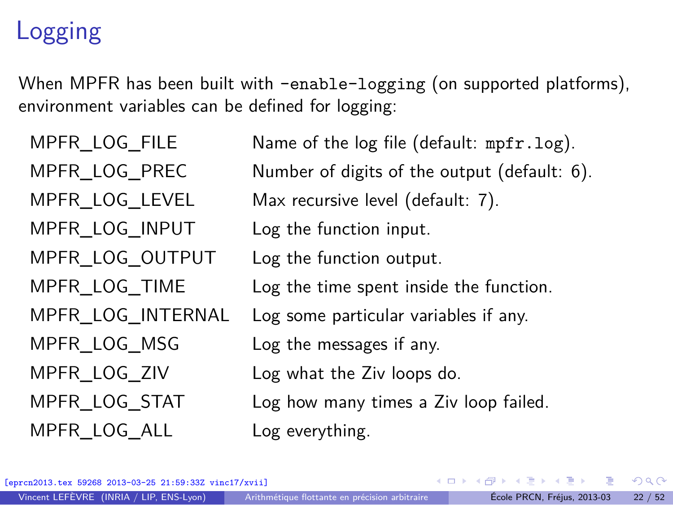## Logging

When MPFR has been built with -enable-logging (on supported platforms), environment variables can be defined for logging:

MPFR\_LOG\_INPUT Log the function input. MPFR\_LOG\_OUTPUT Log the function output. MPFR LOG MSG Log the messages if any. MPFR LOG ALL Log everything.

MPFR LOG FILE Name of the log file (default: mpfr.log). MPFR\_LOG\_PREC Number of digits of the output (default: 6). MPFR\_LOG\_LEVEL Max recursive level (default: 7). MPFR\_LOG\_TIME Log the time spent inside the function. MPFR\_LOG\_INTERNAL Log some particular variables if any. MPFR\_LOG\_ZIV Log what the Ziv loops do. MPFR\_LOG\_STAT Log how many times a Ziv loop failed.

[eprcn2013.tex 59268 2013-03-25 21:59:33Z vinc17/xvii]

 $\Omega$ 

イロト イ押 トイヨ トイヨト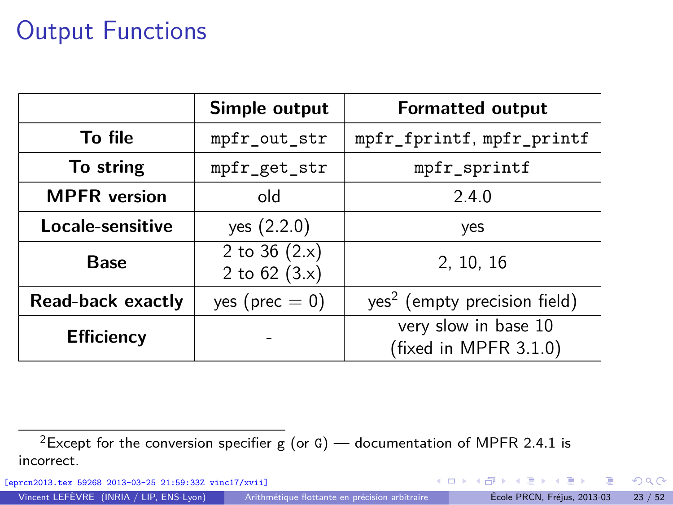## Output Functions

|                     | Simple output                      | <b>Formatted output</b>                       |  |  |
|---------------------|------------------------------------|-----------------------------------------------|--|--|
| To file             | mpfr_out_str                       | mpfr_fprintf, mpfr_printf                     |  |  |
| To string           | mpfr_get_str                       | mpfr_sprintf                                  |  |  |
| <b>MPFR</b> version | old                                | 2.4.0                                         |  |  |
| Locale-sensitive    | yes (2.2.0)                        | yes                                           |  |  |
| <b>Base</b>         | 2 to 36 $(2.x)$<br>2 to $62$ (3.x) | 2, 10, 16                                     |  |  |
| Read-back exactly   | yes ( $prec = 0$ )                 | yes <sup>2</sup> (empty precision field)      |  |  |
| <b>Efficiency</b>   |                                    | very slow in base 10<br>(fixed in MPFR 3.1.0) |  |  |

[eprcn2013.tex 59268 2013-03-25 21:59:33Z vinc17/xvii]

重

<span id="page-31-0"></span> $299$ 

メロメ メ御 メメ ヨメ メヨメ

<sup>&</sup>lt;sup>2</sup>Except for the conversion specifier g (or G) — documentation of MPFR 2.4.1 is incorrect.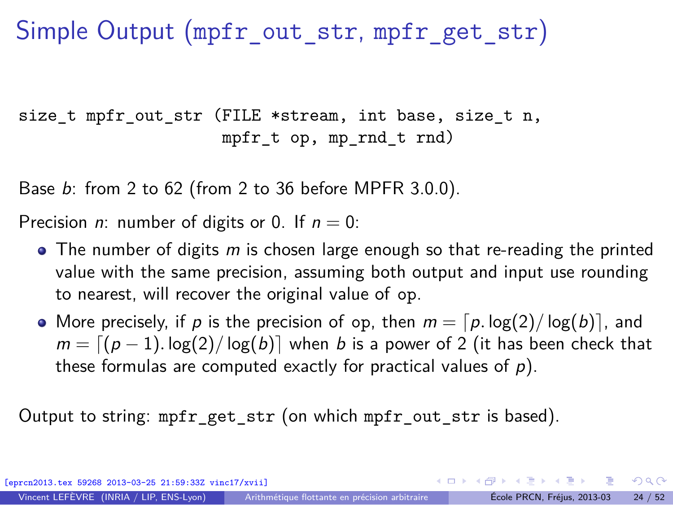## Simple Output (mpfr\_out\_str, mpfr\_get\_str)

size t mpfr out str (FILE \*stream, int base, size t n, mpfr $t$  op, mp $rnd$  $t$   $rnd$ )

Base b: from 2 to 62 (from 2 to 36 before MPFR 3.0.0).

Precision *n*: number of digits or 0. If  $n = 0$ :

- $\bullet$  The number of digits m is chosen large enough so that re-reading the printed value with the same precision, assuming both output and input use rounding to nearest, will recover the original value of op.
- More precisely, if p is the precision of op, then  $m = \lceil p \cdot \log(2) / \log(b) \rceil$ , and  $m = \lfloor (p-1) \cdot \log(2) / \log(b) \rfloor$  when b is a power of 2 (it has been check that these formulas are computed exactly for practical values of  $p$ ).

Output to string: mpfr\_get\_str (on which mpfr\_out\_str is based).

[eprcn2013.tex 59268 2013-03-25 21:59:33Z vinc17/xvii] Vincent LEFÈVRE (INRIA / LIP, ENS-Lyon) [Arithmétique flottante en précision arbitraire](#page-0-0) École PRCN, Fréjus, 2013-03 24 / 52

 $QQ$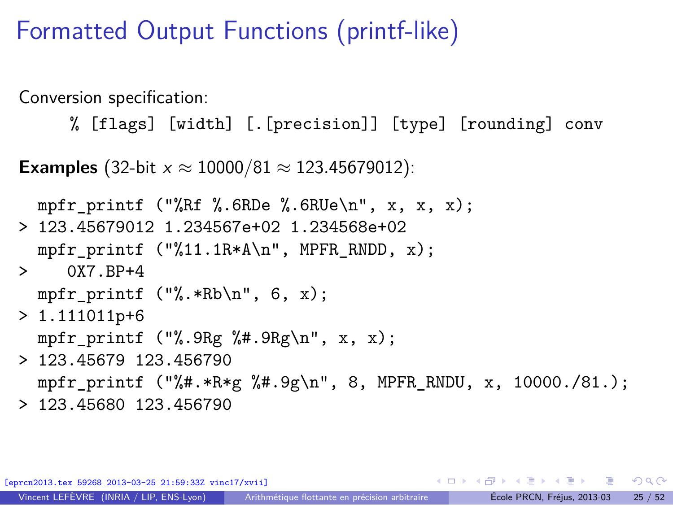## Formatted Output Functions (printf-like)

Conversion specification:

% [flags] [width] [.[precision]] [type] [rounding] conv

**Examples** (32-bit  $x \approx 10000/81 \approx 123.45679012$ ):

```
mpfr_printf ("%Rf %.6RDe %.6RUe\n", x, x, x);
> 123.45679012 1.234567e+02 1.234568e+02
 mpfr_printf ("%11.1R*A\n", MPFR_RNDD, x);
> 0X7 RP+4
 mpfr printf ("%.*Rb\n", 6, x);
> 1.111011p+6mpfr_printf ("%.9Rg %#.9Rg\n", x, x);
> 123.45679 123.456790
 mpfr printf ("%#.*R*g %#.9g\n", 8, MPFR RNDU, x, 10000./81.);
> 123.45680 123.456790
```
K ロ ▶ K 個 ▶ K 로 ▶ K 로 ▶ - 로 - K 9 Q @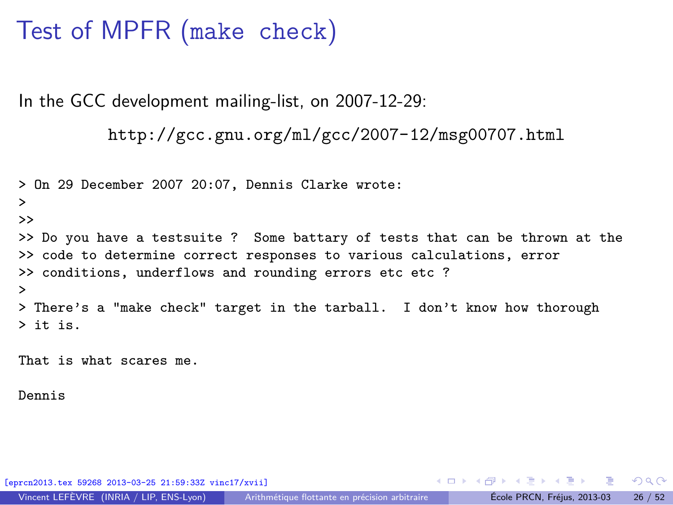## Test of MPFR (make check)

In the GCC development mailing-list, on 2007-12-29:

```
http://gcc.gnu.org/ml/gcc/2007-12/msg00707.html
```

```
> On 29 December 2007 20:07, Dennis Clarke wrote:
>
>>
>> Do you have a testsuite ? Some battary of tests that can be thrown at the
>> code to determine correct responses to various calculations, error
>> conditions, underflows and rounding errors etc etc ?
>
> There's a "make check" target in the tarball. I don't know how thorough
> it is.
```
That is what scares me.

Dennis

[eprcn2013.tex 59268 2013-03-25 21:59:33Z vinc17/xvii]

그 그는 그

イロメ イ押メ イモメイモメ

<span id="page-34-0"></span> $QQ$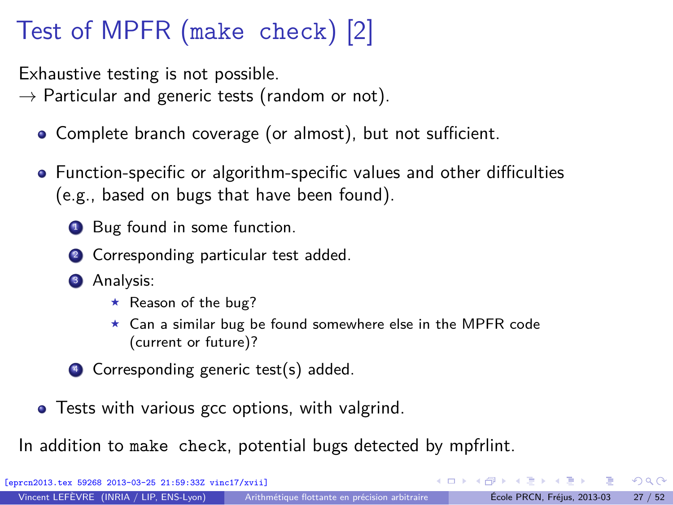## Test of MPFR (make check) [2]

Exhaustive testing is not possible.

 $\rightarrow$  Particular and generic tests (random or not).

- Complete branch coverage (or almost), but not sufficient.
- Function-specific or algorithm-specific values and other difficulties (e.g., based on bugs that have been found).
	- **1** Bug found in some function.
	- 2 Corresponding particular test added.
	- <sup>3</sup> Analysis:
		- $\star$  Reason of the bug?
		- <sup>⋆</sup> Can a similar bug be found somewhere else in the MPFR code (current or future)?
	- <sup>4</sup> Corresponding generic test(s) added.
- **•** Tests with various gcc options, with valgrind.

In addition to make check, potential bugs detected by mpfrlint.

[eprcn2013.tex 59268 2013-03-25 21:59:33Z vinc17/xvii]

 $\Omega$ 

∢ ロ ▶ ( 何 ) ( ミ ) ( ミ )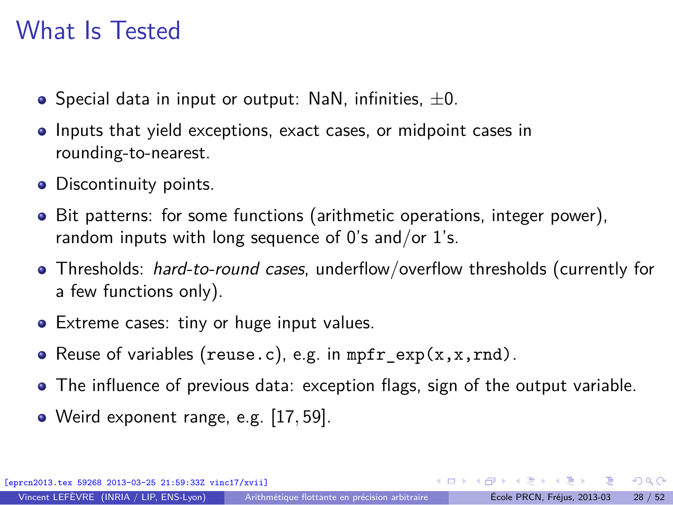### What Is Tested

- $\bullet$  Special data in input or output: NaN, infinities,  $\pm 0$ .
- **Inputs that yield exceptions, exact cases, or midpoint cases in** rounding-to-nearest.
- Discontinuity points.
- Bit patterns: for some functions (arithmetic operations, integer power), random inputs with long sequence of  $0$ 's and/or  $1$ 's.
- Thresholds: *hard-to-round cases*, underflow/overflow thresholds (currently for a few functions only).
- Extreme cases: tiny or huge input values.
- Reuse of variables (reuse.c), e.g. in  $mpr\_exp(x, x, rnd)$ .
- The influence of previous data: exception flags, sign of the output variable.
- Weird exponent range, e.g. [17*,* 59].

[eprcn2013.tex 59268 2013-03-25 21:59:33Z vinc17/xvii]

 $\Omega$ 

イロト イ何 ト イヨ ト イヨ トー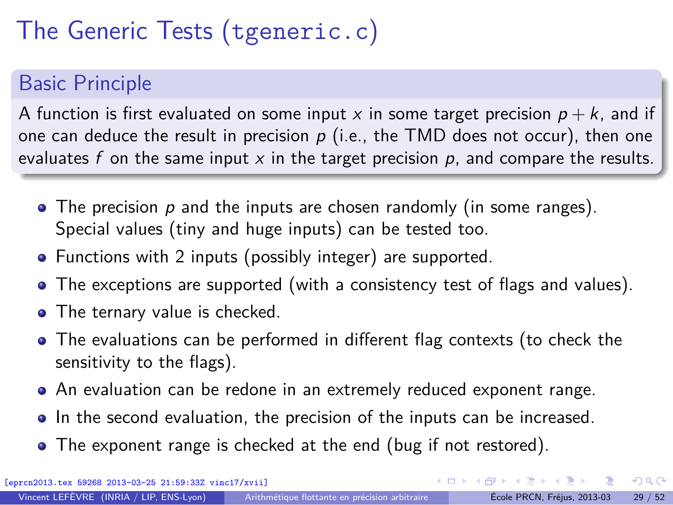# The Generic Tests (tgeneric.c)

#### Basic Principle

A function is first evaluated on some input x in some target precision  $p + k$ , and if one can deduce the result in precision  $p$  (i.e., the TMD does not occur), then one evaluates f on the same input  $x$  in the target precision  $p$ , and compare the results.

- $\bullet$  The precision p and the inputs are chosen randomly (in some ranges). Special values (tiny and huge inputs) can be tested too.
- Functions with 2 inputs (possibly integer) are supported.
- The exceptions are supported (with a consistency test of flags and values).
- The ternary value is checked.
- The evaluations can be performed in different flag contexts (to check the sensitivity to the flags).
- An evaluation can be redone in an extremely reduced exponent range.
- In the second evaluation, the precision of the inputs can be increased.
- The exponent range is checked at the end (bug if not restored).

 $\Omega$ 

 $\left\{ \begin{array}{ccc} 1 & 0 & 0 \\ 0 & 1 & 0 \end{array} \right.$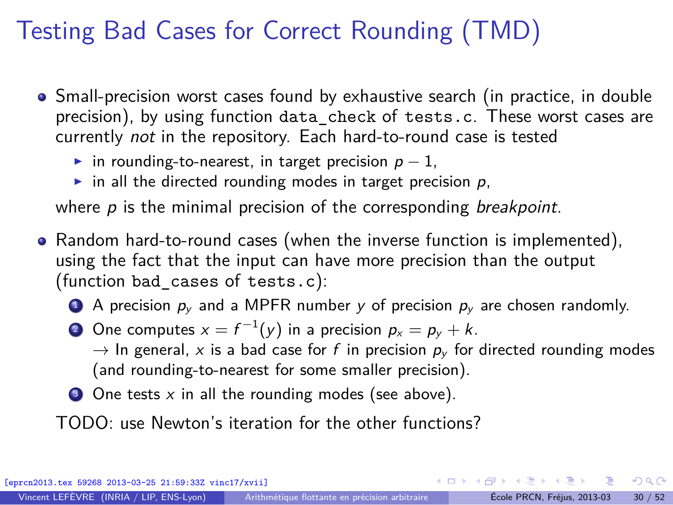## Testing Bad Cases for Correct Rounding (TMD)

- Small-precision worst cases found by exhaustive search (in practice, in double precision), by using function data\_check of tests.c. These worst cases are currently not in the repository. Each hard-to-round case is tested
	- in rounding-to-nearest, in target precision  $p 1$ ,
	- in all the directed rounding modes in target precision  $p$ ,

where  $p$  is the minimal precision of the corresponding *breakpoint*.

- Random hard-to-round cases (when the inverse function is implemented), using the fact that the input can have more precision than the output (function bad\_cases of tests.c):
	- A precision  $p_v$  and a MPFR number y of precision  $p_v$  are chosen randomly.
	- $2$  One computes  $x = f^{-1}(y)$  in a precision  $p_x = p_y + k$ .

 $\rightarrow$  In general, x is a bad case for f in precision  $p_y$  for directed rounding modes (and rounding-to-nearest for some smaller precision).

 $\bullet$  One tests x in all the rounding modes (see above).

TODO: use Newton's iteration for the other functions?

[eprcn2013.tex 59268 2013-03-25 21:59:33Z vinc17/xvii]

 $\Omega$ 

K □ ▶ K @ ▶ K ミ ▶ K ミ ▶ X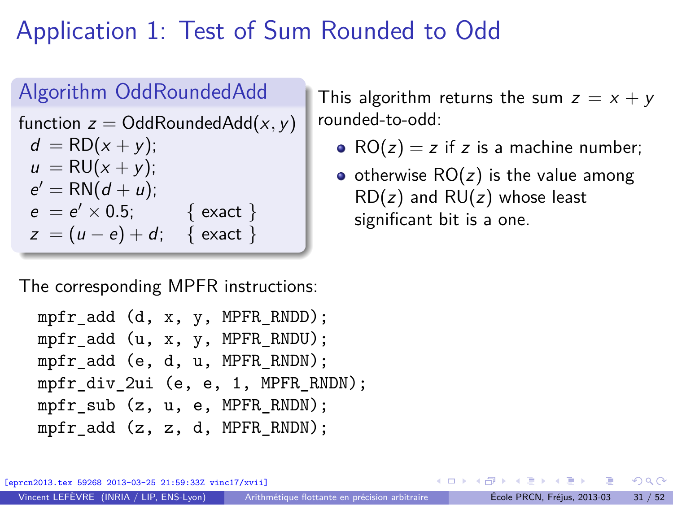## Application 1: Test of Sum Rounded to Odd

#### Algorithm OddRoundedAdd function  $z =$  OddRoundedAdd $(x, y)$  $d = \text{RD}(x + y);$  $u = RU(x + v)$ ;  $e' = RN(d + u);$  $e = e' \times 0.5;$  { exact }  $z = (u - e) + d$ ; { exact }

The corresponding MPFR instructions:

```
mpfr_add (d, x, y, MPFR_RNDD);
mpfr_add (u, x, y, MPFR_RNDU);
mpfr_add (e, d, u, MPFR_RNDN);
mpfr_div_2ui (e, e, 1, MPFR_RNDN);
mpfr_sub (z, u, e, MPFR_RNDN);mpfr\_add (z, z, d, MPFR RNDN);
```
This algorithm returns the sum  $z = x + y$ rounded-to-odd:

- $RO(z) = z$  if z is a machine number;
- otherwise  $RO(z)$  is the value among  $RD(z)$  and  $RU(z)$  whose least significant bit is a one.

[eprcn2013.tex 59268 2013-03-25 21:59:33Z vinc17/xvii]

<span id="page-39-0"></span> $\Omega$ 

←ロト ←何ト ←ヨト ←ヨトー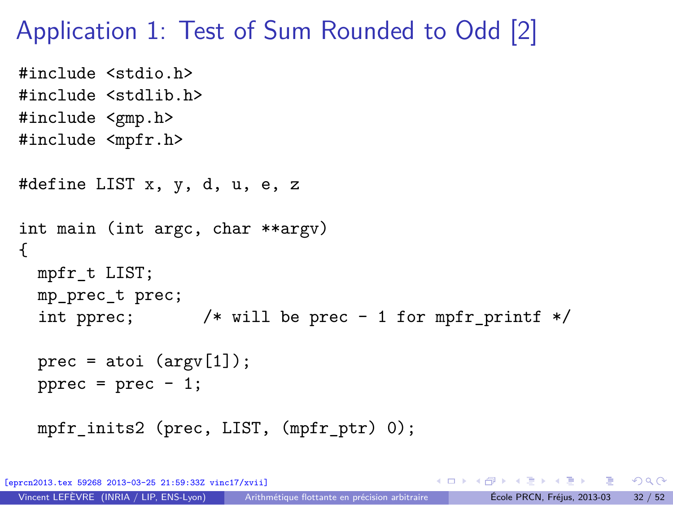#### Application 1: Test of Sum Rounded to Odd [2]

```
#include <stdio.h>
#include <stdlib.h>
#include <gmp.h>
#include <mpfr.h>
#define LIST x, y, d, u, e, z
int main (int argc, char **argv)
{
  mpfr_t LIST;
  mp_prec_t prec;
  int pprec; /* will be prec - 1 for mpfr_printf */
  prec = atoi (argv[1]);pprec = prec - 1;mpfr_inits2 (prec, LIST, (mpfr_ptr) 0);
```
KED KARD KED KED E YORA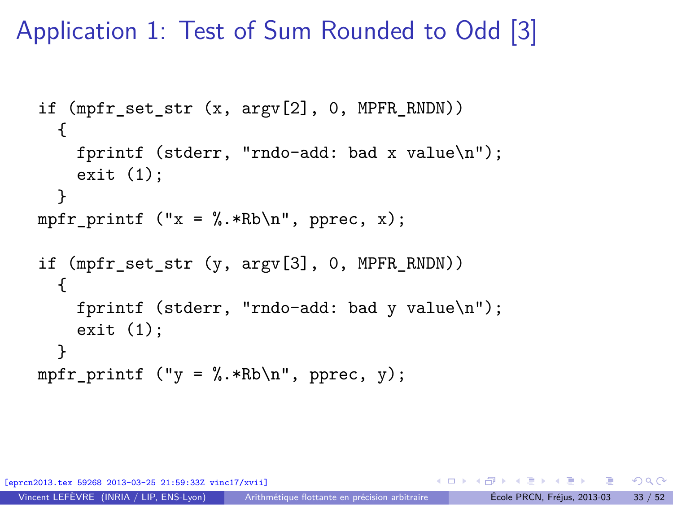Application 1: Test of Sum Rounded to Odd [3]

```
if (mpfr set str (x, \argy[2], 0, MPFR_RNDN))
  {
    fprintf (stderr, "rndo-add: bad x value\n");
    exit (1);
  }
mpfr_printf ("x = %.*Rb\nu", pprec, x);if (mpfr set str (y, \text{argy}[3], 0, \text{MPFR}_R))
  {
    fprintf (stderr, "rndo-add: bad y value\n");
    exit (1);
  }
mpfr printf ("y = \frac{N}{k}.*Rb\n", pprec, y);
```
[eprcn2013.tex 59268 2013-03-25 21:59:33Z vinc17/xvii]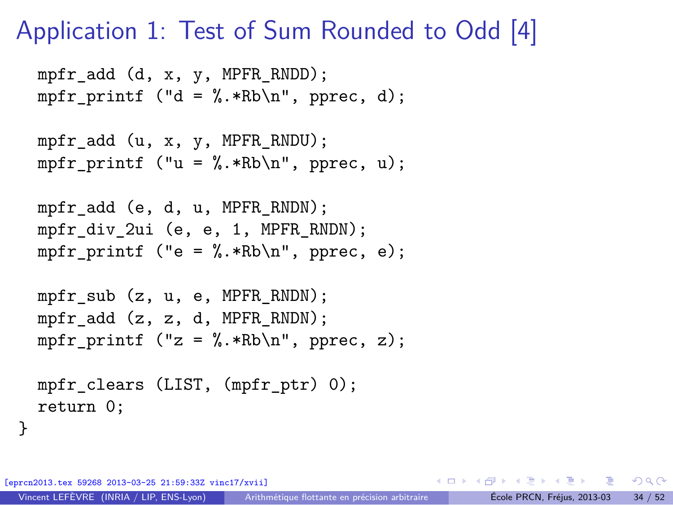### Application 1: Test of Sum Rounded to Odd [4]

```
mpfr_add (d, x, y, MPFR_RNDD);
mpfr printf ("d = \frac{N}{n}.*Rb\n", pprec, d);
mpfr_add (u, x, y, MPFR_RNDU);
mpfr printf ("u = \frac{N}{n}.*Rb\n", pprec, u);
mpfr_add (e, d, u, MPFR_RNDN);
mpfr div 2ui (e, e, 1, MPFR RNDN);
mpfr printf ("e = \frac{N}{n}.*Rb\n", pprec, e);
mpfr sub (z, u, e, MPFR RNDN);
mpfr_add (z, z, d, MPFR_RNDN);
mpfr_printf ("z = %.*Rb\nu", pprec, z);mpfr_clears (LIST, (mpfr_ptr) 0);
```
[eprcn2013.tex 59268 2013-03-25 21:59:33Z vinc17/xvii]

return 0;

}

K □ ▶ K @ ▶ K 로 ▶ K 로 ▶ \_ 로 \_ K) 9,00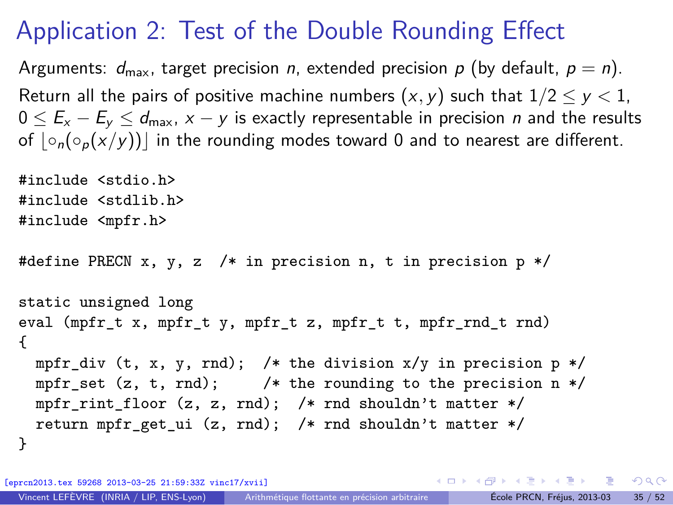## Application 2: Test of the Double Rounding Effect

Arguments:  $d_{\text{max}}$ , target precision n, extended precision p (by default,  $p = n$ ). Return all the pairs of positive machine numbers  $(x, y)$  such that  $1/2 \le y < 1$ ,  $0 \le E_x - E_y \le d_{\text{max}}$ ,  $x - y$  is exactly representable in precision *n* and the results of  $| \circ_n(\circ_n(x/y))|$  in the rounding modes toward 0 and to nearest are different.

```
#include <stdio.h>
#include <stdlib.h>
#include <mpfr.h>
#define PRECN x, y, z /* in precision n, t in precision p */
static unsigned long
eval (mpfr t x, mpfr t y, mpfr t z, mpfr t t, mpfr rnd t rnd)
{
 mpfr_div (t, x, y, rnd); /* the division x/y in precision p */
 mpfr_set (z, t, rnd); /* the rounding to the precision n */
 mpfr_rint_floor (z, z, rnd); /* rnd shouldn't matter */
  return mpfr get ui (z, \text{rnd}); /* rnd shouldn't matter */
}
```
[eprcn2013.tex 59268 2013-03-25 21:59:33Z vinc17/xvii]

K ロ ▶ K 個 ▶ K 로 ▶ K 로 ▶ - 로 - K 9 Q @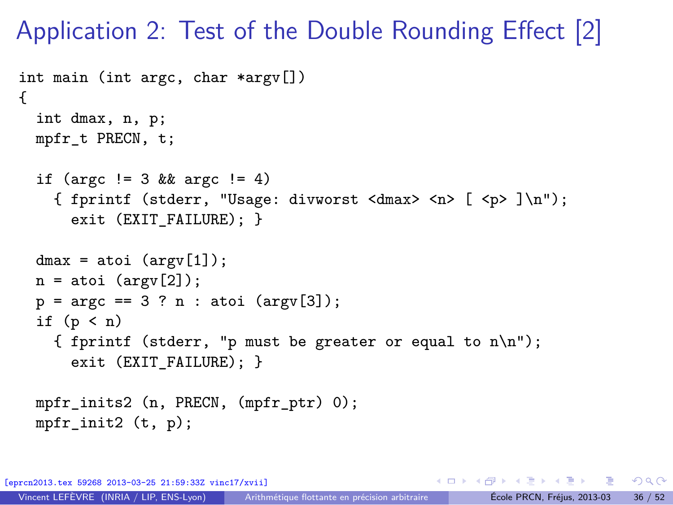Application 2: Test of the Double Rounding Effect [2]

```
int main (int argc, char *argv[])
{
  int dmax, n, p;
 mpfr_t PRECN, t;
  if (argc != 3 && argc != 4)
    { fprintf (stderr, "Usage: divworst <dmax> <n> [ <p> ]\n");
      exit (EXIT_FAILURE); }
  dmax = atoi (argv[1]);n = atoi (argv[2]);p = \arg c == 3 ? n : \text{atoi } (\arg v [3]);
  if (p < n){ fprintf (stderr, "p must be greater or equal to n\n");
      exit (EXIT FAILURE): }
 mpfr_inits2 (n, PRECN, (mpfr_ptr) 0);
 mpfr\_init2 (t, p);
```
[eprcn2013.tex 59268 2013-03-25 21:59:33Z vinc17/xvii]

KED KARD KED KED E VOOR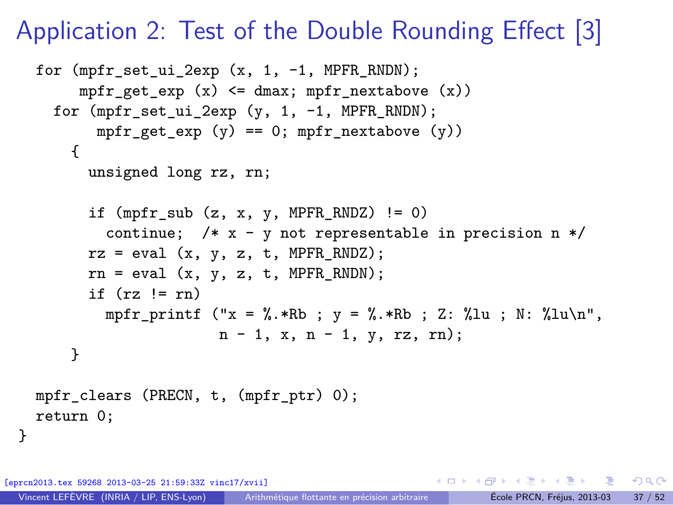### Application 2: Test of the Double Rounding Effect [3]

```
for (mpfr_set_ui_2exp (x, 1, -1, MPFR_RNDN);
     mpfr_get_exp (x) <= dmax; mpfr_nextabove (x))
  for (mpfr set ui 2exp (y, 1, -1, MPFR RNDN);
       mpr\_get\_exp (y) == 0; mpr\_nextabove (y))
    {
      unsigned long rz, rn;
      if (mpr\_sub(z, x, y, MPR\_RNDZ) := 0)continue; /* x - y not representable in precision n */
      rz = eval(x, y, z, t, MPFR_RNDZ);rn = eval(x, y, z, t, MPFR RNDN);if (rz \mid = rn)mpfr_printf ("x = %.*Rb; y = %.*Rb; Z: %lu; N: %lu\n",
                     n - 1, x, n - 1, y, rz, rn);
    }
mpfr_clears (PRECN, t, (mpfr_ptr) 0);
return 0;
```
[eprcn2013.tex 59268 2013-03-25 21:59:33Z vinc17/xvii]

}

KO KA GI KENYE YA GI KA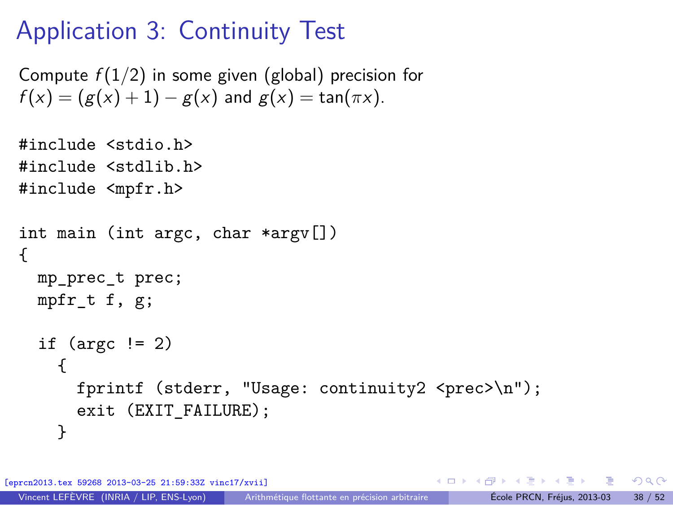## Application 3: Continuity Test

```
Compute f(1/2) in some given (global) precision for
f(x) = (g(x) + 1) - g(x) and g(x) = \tan(\pi x).
```

```
#include <stdio.h>
#include <stdlib.h>
#include <mpfr.h>
int main (int argc, char *argv[])
{
  mp_prec_t prec;
  mpfr t f, g;
  if (\text{argc} != 2){
      fprintf (stderr, "Usage: continuity2 <prec>\n");
      exit (EXIT FAILURE);
    }
```
[eprcn2013.tex 59268 2013-03-25 21:59:33Z vinc17/xvii]

 $\Omega$ 

イロメ イ何メ イヨメ イヨメーヨ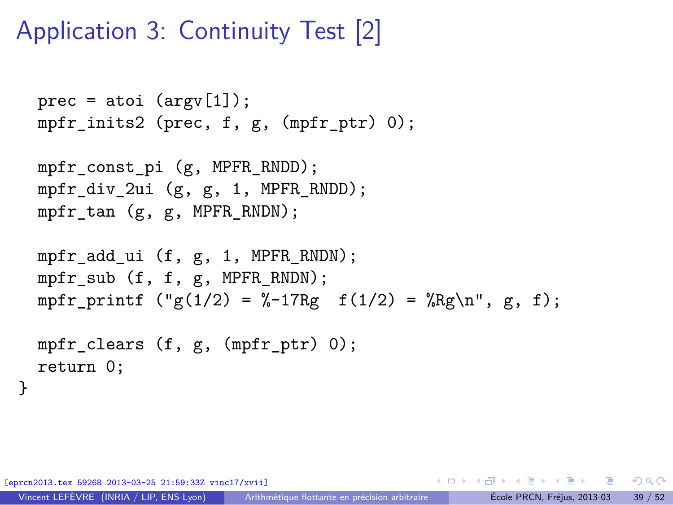## Application 3: Continuity Test [2]

```
prec = atoi (argv[1]);mpfr_inits2 (prec, f, g, (mpfr_ptr) 0);
```

```
mpfr const pi (g, MPFR RNDD);
mpfr_div_2ui (g, g, 1, MPFR_RNDD);
mpfr_tan (g, g, MPFR_RNDN);
```

```
mpfr_add_ui (f, g, 1, MPFR_RNDN);
mpfr_sub (f, f, g, MPFR_RNDN);
mpfr_printf ("g(1/2) = %-17Rg f(1/2) = %Rg\nu, g, f);
```

```
mpfr_clears (f, g, (mpfr_ptr) 0);
return 0;
```
[eprcn2013.tex 59268 2013-03-25 21:59:33Z vinc17/xvii]

}

KED KARD KED KED YA GA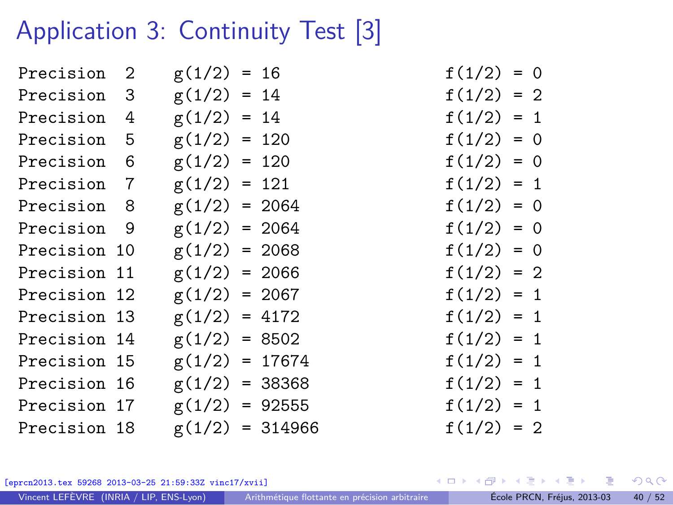## Application 3: Continuity Test [3]

| Precision    | 2 | $g(1/2) = 16$     |  | $f(1/2) = 0$ |  |
|--------------|---|-------------------|--|--------------|--|
| Precision 3  |   | $g(1/2) = 14$     |  | $f(1/2) = 2$ |  |
| Precision    | 4 | $g(1/2) = 14$     |  | $f(1/2) = 1$ |  |
| Precision    | 5 | $g(1/2) = 120$    |  | $f(1/2) = 0$ |  |
| Precision 6  |   | $g(1/2) = 120$    |  | $f(1/2) = 0$ |  |
| Precision 7  |   | $g(1/2) = 121$    |  | $f(1/2) = 1$ |  |
| Precision 8  |   | $g(1/2) = 2064$   |  | $f(1/2) = 0$ |  |
| Precision 9  |   | $g(1/2) = 2064$   |  | $f(1/2) = 0$ |  |
| Precision 10 |   | $g(1/2) = 2068$   |  | $f(1/2) = 0$ |  |
| Precision 11 |   | $g(1/2) = 2066$   |  | $f(1/2) = 2$ |  |
| Precision 12 |   | $g(1/2) = 2067$   |  | $f(1/2) = 1$ |  |
| Precision 13 |   | $g(1/2) = 4172$   |  | $f(1/2) = 1$ |  |
| Precision 14 |   | $g(1/2) = 8502$   |  | $f(1/2) = 1$ |  |
| Precision 15 |   | $g(1/2) = 17674$  |  | $f(1/2) = 1$ |  |
| Precision 16 |   | $g(1/2) = 38368$  |  | $f(1/2) = 1$ |  |
| Precision 17 |   | $g(1/2) = 92555$  |  | $f(1/2) = 1$ |  |
| Precision 18 |   | $g(1/2) = 314966$ |  | $f(1/2) = 2$ |  |
|              |   |                   |  |              |  |

$$
f(1/2) = 0
$$
  
\n
$$
f(1/2) = 2
$$
  
\n
$$
f(1/2) = 1
$$
  
\n
$$
f(1/2) = 0
$$
  
\n
$$
f(1/2) = 0
$$
  
\n
$$
f(1/2) = 0
$$
  
\n
$$
f(1/2) = 0
$$
  
\n
$$
f(1/2) = 0
$$
  
\n
$$
f(1/2) = 1
$$
  
\n
$$
f(1/2) = 1
$$
  
\n
$$
f(1/2) = 1
$$
  
\n
$$
f(1/2) = 1
$$
  
\n
$$
f(1/2) = 1
$$
  
\n
$$
f(1/2) = 1
$$
  
\n
$$
f(1/2) = 1
$$
  
\n
$$
f(1/2) = 1
$$
  
\n
$$
f(1/2) = 2
$$

[eprcn2013.tex 59268 2013-03-25 21:59:33Z vinc17/xvii]

 $\left\{ \begin{array}{ccc} 1 & 0 & 0 \\ 0 & 1 & 0 \end{array} \right.$  ,  $\left\{ \begin{array}{ccc} \frac{1}{2} & 0 & 0 \\ 0 & 0 & 0 \end{array} \right.$ 活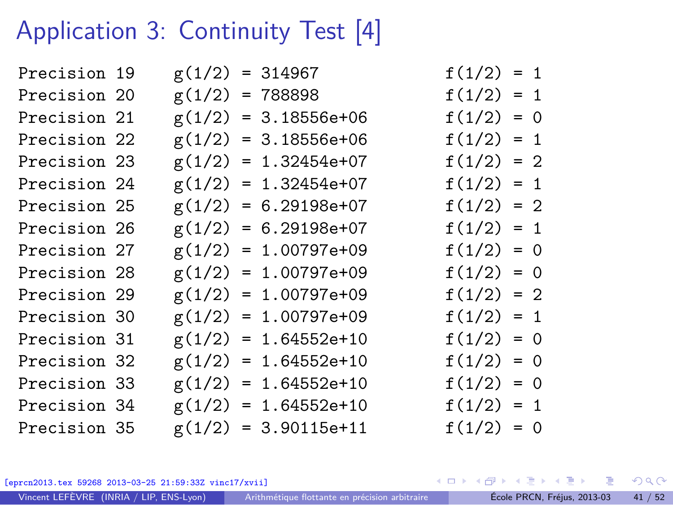## Application 3: Continuity Test [4]

| Precision 19 |  | $g(1/2) = 314967$      | $f(1/2) = 1$ |  |
|--------------|--|------------------------|--------------|--|
| Precision 20 |  | $g(1/2) = 788898$      | $f(1/2) = 1$ |  |
| Precision 21 |  | $g(1/2) = 3.18556e+06$ | $f(1/2) = 0$ |  |
| Precision 22 |  | $g(1/2) = 3.18556e+06$ | $f(1/2) = 1$ |  |
| Precision 23 |  | $g(1/2) = 1.32454e+07$ | $f(1/2) = 2$ |  |
| Precision 24 |  | $g(1/2) = 1.32454e+07$ | $f(1/2) = 1$ |  |
| Precision 25 |  | $g(1/2) = 6.29198e+07$ | $f(1/2) = 2$ |  |
| Precision 26 |  | $g(1/2) = 6.29198e+07$ | $f(1/2) = 1$ |  |
| Precision 27 |  | $g(1/2) = 1.00797e+09$ | $f(1/2) = 0$ |  |
| Precision 28 |  | $g(1/2) = 1.00797e+09$ | $f(1/2) = 0$ |  |
| Precision 29 |  | $g(1/2) = 1.00797e+09$ | $f(1/2) = 2$ |  |
| Precision 30 |  | $g(1/2) = 1.00797e+09$ | $f(1/2) = 1$ |  |
| Precision 31 |  | $g(1/2) = 1.64552e+10$ | $f(1/2) = 0$ |  |
| Precision 32 |  | $g(1/2) = 1.64552e+10$ | $f(1/2) = 0$ |  |
| Precision 33 |  | $g(1/2) = 1.64552e+10$ | $f(1/2) = 0$ |  |
| Precision 34 |  | $g(1/2) = 1.64552e+10$ | $f(1/2) = 1$ |  |
| Precision 35 |  | $g(1/2) = 3.90115e+11$ | $f(1/2) = 0$ |  |
|              |  |                        |              |  |

[eprcn2013.tex 59268 2013-03-25 21:59:33Z vinc17/xvii]

Vincent LEFÈVRE (INRIA / LIP, ENS-Lyon) [Arithmétique flottante en précision arbitraire](#page-0-0) École PRCN, Fréjus, 2013-03 41 / 52

**K ロ ▶ K 何 ▶**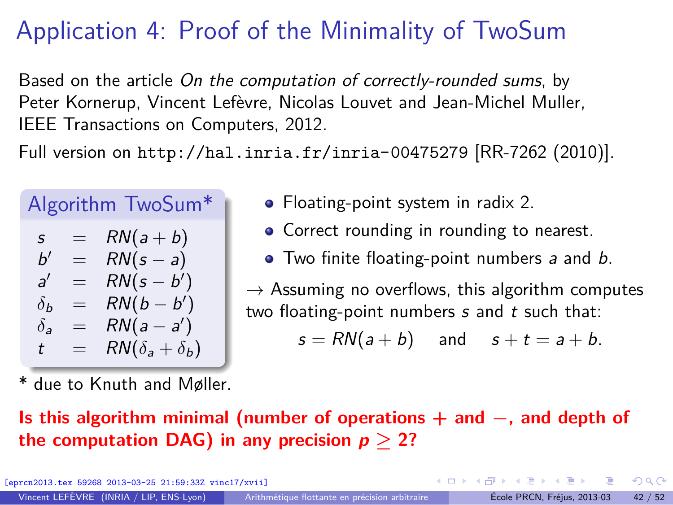## Application 4: Proof of the Minimality of TwoSum

Based on the article On the computation of correctly-rounded sums, by Peter Kornerup, Vincent Lefèvre, Nicolas Louvet and Jean-Michel Muller, IEEE Transactions on Computers, 2012.

Full version on <http://hal.inria.fr/inria-00475279> [RR-7262 (2010)].

# Algorithm TwoSum\*

$$
s = RN(a + b)
$$
  
\n
$$
b' = RN(s - a)
$$
  
\n
$$
a' = RN(s - b')
$$
  
\n
$$
\delta_b = RN(b - b')
$$
  
\n
$$
\delta_a = RN(a - a')
$$
  
\n
$$
t = RN(\delta_a + \delta_b)
$$

- Floating-point system in radix 2.
- Correct rounding in rounding to nearest.
- Two finite floating-point numbers a and b.

 $\rightarrow$  Assuming no overflows, this algorithm computes two floating-point numbers  $s$  and  $t$  such that:

 $s = RN(a + b)$  and  $s + t = a + b$ .

due to Knuth and Møller.

#### **Is this algorithm minimal (number of operations** + **and −, and depth of the computation DAG) in any precision**  $p > 2$ **?**

[eprcn2013.tex 59268 2013-03-25 21:59:33Z vinc17/xvii]

 $\Omega$ 

イロト イ何 トイヨ トイヨト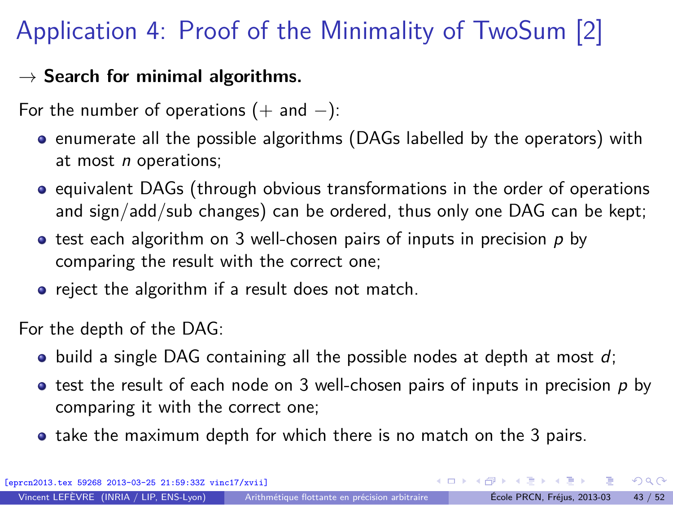## Application 4: Proof of the Minimality of TwoSum [2]

#### $\rightarrow$  Search for minimal algorithms.

For the number of operations  $(+)$  and  $-)$ :

- **•** enumerate all the possible algorithms (DAGs labelled by the operators) with at most *n* operations;
- equivalent DAGs (through obvious transformations in the order of operations and sign/add/sub changes) can be ordered, thus only one DAG can be kept;
- $\bullet$  test each algorithm on 3 well-chosen pairs of inputs in precision p by comparing the result with the correct one;
- reject the algorithm if a result does not match.

For the depth of the DAG:

- $\bullet$  build a single DAG containing all the possible nodes at depth at most d;
- $\bullet$  test the result of each node on 3 well-chosen pairs of inputs in precision p by comparing it with the correct one;
- take the maximum depth for which there is no match on the 3 pairs.

[eprcn2013.tex 59268 2013-03-25 21:59:33Z vinc17/xvii]

 $\Omega$ 

イロト イ押 トイヨ トイヨト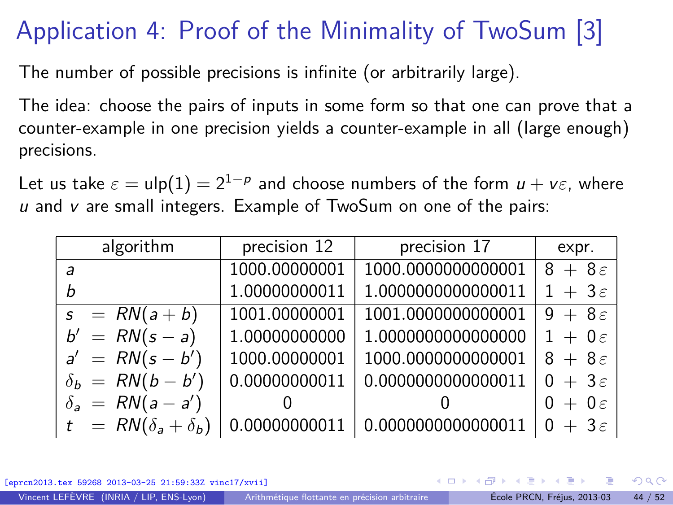## Application 4: Proof of the Minimality of TwoSum [3]

The number of possible precisions is infinite (or arbitrarily large).

The idea: choose the pairs of inputs in some form so that one can prove that a counter-example in one precision yields a counter-example in all (large enough) precisions.

Let us take  $\varepsilon = \mathsf{ulp}(1) = 2^{1-p}$  and choose numbers of the form  $u + v \varepsilon$ , where  $u$  and  $v$  are small integers. Example of TwoSum on one of the pairs:

| algorithm                     | precision 12  | precision 17       | expr.               |
|-------------------------------|---------------|--------------------|---------------------|
| a                             | 1000.00000001 | 1000.0000000000001 | $8+8\varepsilon$    |
| h                             | 1.00000000011 | 1.0000000000000011 | $1 + 3\varepsilon$  |
| $s = RN(a + b)$               | 1001.00000001 | 1001.0000000000001 | $9 + 8\epsilon$     |
| $b' = RN(s - a)$              | 1.00000000000 | 1.0000000000000000 | $1 + 0 \varepsilon$ |
| $a' = RN(s - b')$             | 1000.00000001 | 1000.0000000000001 | $8+8\varepsilon$    |
| $\delta_b$ = RN(b – b')       | 0.00000000011 | 0.0000000000000011 | $0 + 3\varepsilon$  |
| $\delta_a = RN(a-a')$         |               |                    | $0 + 0 \varepsilon$ |
| $t = RN(\delta_a + \delta_b)$ | 0.00000000011 | 0.0000000000000011 | $0 + 3\varepsilon$  |

[eprcn2013.tex 59268 2013-03-25 21:59:33Z vinc17/xvii]

 $\Omega$ 

( ロ ) ( 何 ) ( ヨ ) ( ヨ )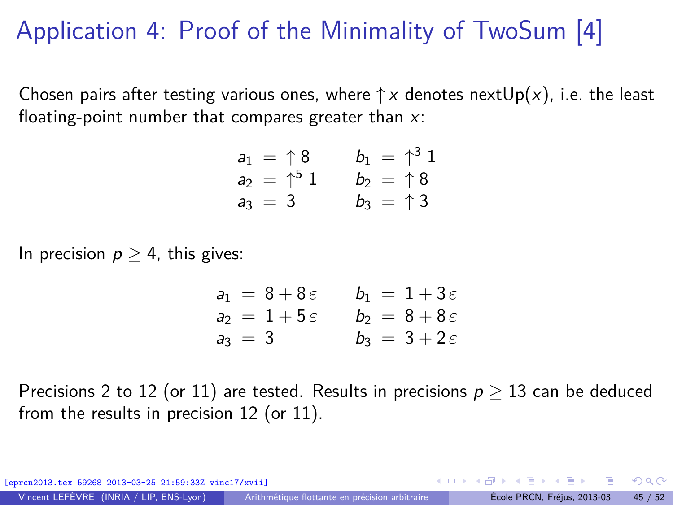## Application 4: Proof of the Minimality of TwoSum [4]

Chosen pairs after testing various ones, where  $\uparrow x$  denotes next $Up(x)$ , i.e. the least floating-point number that compares greater than  $x$ :

$$
a_1 = \uparrow 8
$$
  $b_1 = \uparrow^3 1$   
\n $a_2 = \uparrow^5 1$   $b_2 = \uparrow 8$   
\n $a_3 = 3$   $b_3 = \uparrow 3$ 

In precision  $p \geq 4$ , this gives:

$$
a_1 = 8 + 8\varepsilon \qquad b_1 = 1 + 3\varepsilon
$$
  
\n
$$
a_2 = 1 + 5\varepsilon \qquad b_2 = 8 + 8\varepsilon
$$
  
\n
$$
a_3 = 3 \qquad b_3 = 3 + 2\varepsilon
$$

Precisions 2 to 12 (or 11) are tested. Results in precisions  $p \geq 13$  can be deduced from the results in precision 12 (or 11).

[eprcn2013.tex 59268 2013-03-25 21:59:33Z vinc17/xvii] イロト イ何 トイヨ トイヨト  $\Omega$ Vincent LEFÈVRE (INRIA / LIP, ENS-Lyon) [Arithmétique flottante en précision arbitraire](#page-0-0) École PRCN, Fréjus, 2013-03 45 / 52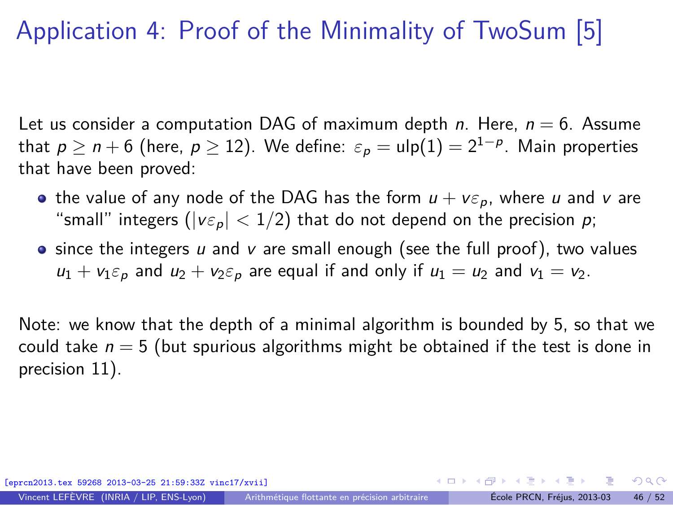## Application 4: Proof of the Minimality of TwoSum [5]

Let us consider a computation DAG of maximum depth n. Here,  $n = 6$ . Assume that  $p \geq n+6$  (here,  $p \geq 12$ ). We define:  $\varepsilon_p = \mathsf{ulp}(1) = 2^{1-p}.$  Main properties that have been proved:

- the value of any node of the DAG has the form  $u + v \varepsilon_p$ , where u and v are "small" integers ( $|v \varepsilon_p|$  < 1/2) that do not depend on the precision p;
- $\bullet$  since the integers u and v are small enough (see the full proof), two values  $u_1 + v_1 \varepsilon_p$  and  $u_2 + v_2 \varepsilon_p$  are equal if and only if  $u_1 = u_2$  and  $v_1 = v_2$ .

Note: we know that the depth of a minimal algorithm is bounded by 5, so that we could take  $n = 5$  (but spurious algorithms might be obtained if the test is done in precision 11).

[eprcn2013.tex 59268 2013-03-25 21:59:33Z vinc17/xvii]

 $\Omega$ 

イロト イ押 トイヨ トイヨト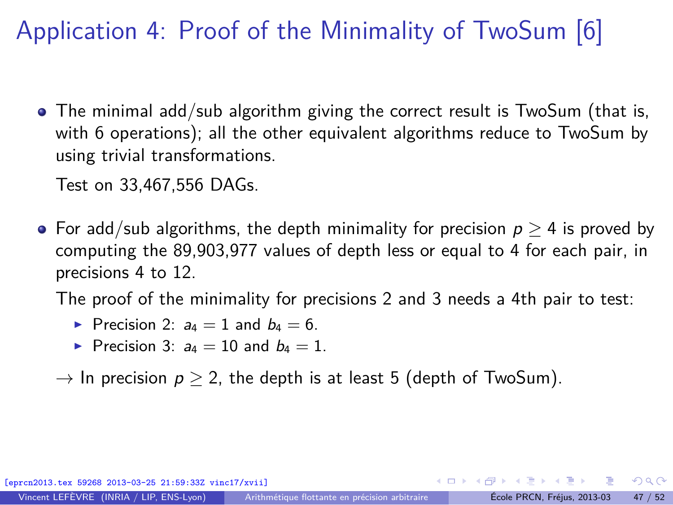## Application 4: Proof of the Minimality of TwoSum [6]

• The minimal add/sub algorithm giving the correct result is TwoSum (that is, with 6 operations); all the other equivalent algorithms reduce to TwoSum by using trivial transformations.

Test on 33,467,556 DAGs.

• For add/sub algorithms, the depth minimality for precision  $p > 4$  is proved by computing the 89,903,977 values of depth less or equal to 4 for each pair, in precisions 4 to 12.

The proof of the minimality for precisions 2 and 3 needs a 4th pair to test:

- Precision 2:  $a_4 = 1$  and  $b_4 = 6$ .
- Precision 3:  $a_4 = 10$  and  $b_4 = 1$ .

 $\rightarrow$  In precision  $p > 2$ , the depth is at least 5 (depth of TwoSum).

[eprcn2013.tex 59268 2013-03-25 21:59:33Z vinc17/xvii]

 $\Omega$ 

イロト イ何 トイヨ トイヨト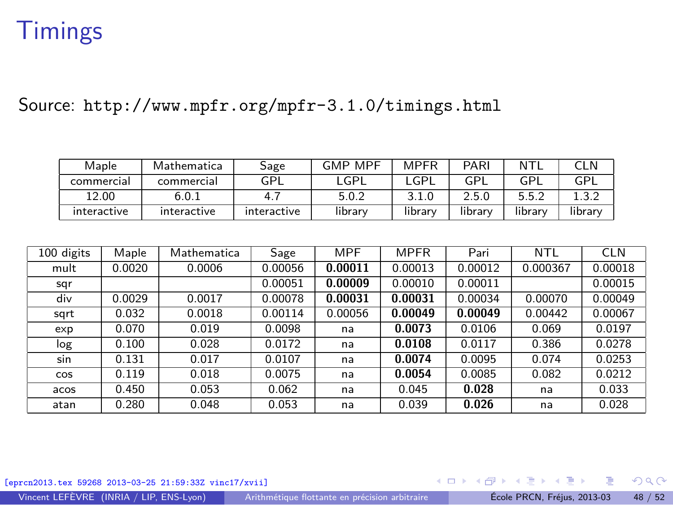### **Timings**

Source: <http://www.mpfr.org/mpfr-3.1.0/timings.html>

| Maple       | Mathematica | Sage        | <b>GMP MPF</b> | <b>MPFR</b> | PARI    | NTI     | CLN     |
|-------------|-------------|-------------|----------------|-------------|---------|---------|---------|
| commercial  | commercial  | GPL         | _GPL           | _GPL        | GPI     | GPI     | GPL     |
| 12.00       | 6.0.1       | 4.          | 5.0.2          | 3.1.0       | 2.5.0   | 5.5.2   |         |
| interactive | interactive | interactive | library        | library     | library | library | library |

| 100 digits | Maple  | Mathematica | Sage    | <b>MPF</b> | <b>MPFR</b> | Pari    | <b>NTL</b> | <b>CLN</b> |
|------------|--------|-------------|---------|------------|-------------|---------|------------|------------|
| mult       | 0.0020 | 0.0006      | 0.00056 | 0.00011    | 0.00013     | 0.00012 | 0.000367   | 0.00018    |
| sqr        |        |             | 0.00051 | 0.00009    | 0.00010     | 0.00011 |            | 0.00015    |
| div        | 0.0029 | 0.0017      | 0.00078 | 0.00031    | 0.00031     | 0.00034 | 0.00070    | 0.00049    |
| sqrt       | 0.032  | 0.0018      | 0.00114 | 0.00056    | 0.00049     | 0.00049 | 0.00442    | 0.00067    |
| exp        | 0.070  | 0.019       | 0.0098  | na         | 0.0073      | 0.0106  | 0.069      | 0.0197     |
| log        | 0.100  | 0.028       | 0.0172  | na         | 0.0108      | 0.0117  | 0.386      | 0.0278     |
| sin        | 0.131  | 0.017       | 0.0107  | na         | 0.0074      | 0.0095  | 0.074      | 0.0253     |
| COS        | 0.119  | 0.018       | 0.0075  | na         | 0.0054      | 0.0085  | 0.082      | 0.0212     |
| acos       | 0.450  | 0.053       | 0.062   | na         | 0.045       | 0.028   | na         | 0.033      |
| atan       | 0.280  | 0.048       | 0.053   | na         | 0.039       | 0.026   | na         | 0.028      |

[eprcn2013.tex 59268 2013-03-25 21:59:33Z vinc17/xvii]

 $\left\{ \begin{array}{ccc} 1 & 0 & 0 \\ 0 & 1 & 0 \end{array} \right.$ 

Vincent LEFÈVRE (INRIA / LIP, ENS-Lyon) [Arithmétique flottante en précision arbitraire](#page-0-0) École PRCN, Fréjus, 2013-03 48 / 52

<span id="page-56-0"></span>э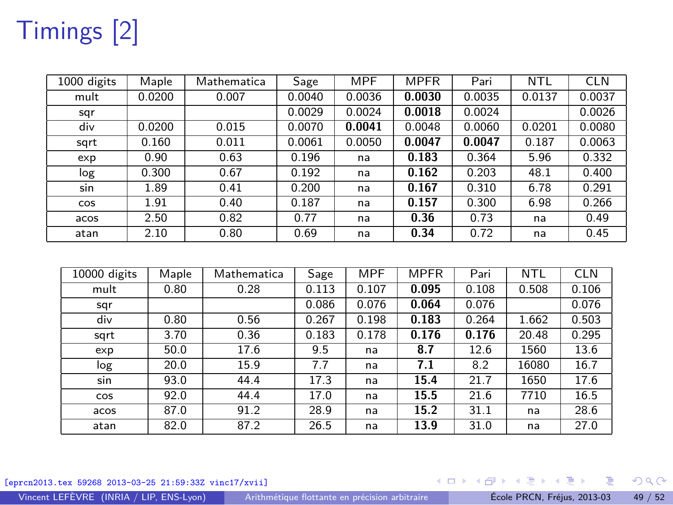# Timings [2]

| 1000 digits | Maple  | Mathematica | Sage   | <b>MPF</b> | <b>MPFR</b> | Pari   | NTL    | <b>CLN</b> |
|-------------|--------|-------------|--------|------------|-------------|--------|--------|------------|
| mult        | 0.0200 | 0.007       | 0.0040 | 0.0036     | 0.0030      | 0.0035 | 0.0137 | 0.0037     |
| sqr         |        |             | 0.0029 | 0.0024     | 0.0018      | 0.0024 |        | 0.0026     |
| div         | 0.0200 | 0.015       | 0.0070 | 0.0041     | 0.0048      | 0.0060 | 0.0201 | 0.0080     |
| sqrt        | 0.160  | 0.011       | 0.0061 | 0.0050     | 0.0047      | 0.0047 | 0.187  | 0.0063     |
| exp         | 0.90   | 0.63        | 0.196  | na         | 0.183       | 0.364  | 5.96   | 0.332      |
| log         | 0.300  | 0.67        | 0.192  | na         | 0.162       | 0.203  | 48.1   | 0.400      |
| sin         | 1.89   | 0.41        | 0.200  | na         | 0.167       | 0.310  | 6.78   | 0.291      |
| <b>COS</b>  | 1.91   | 0.40        | 0.187  | na         | 0.157       | 0.300  | 6.98   | 0.266      |
| acos        | 2.50   | 0.82        | 0.77   | na         | 0.36        | 0.73   | na     | 0.49       |
| atan        | 2.10   | 0.80        | 0.69   | na         | 0.34        | 0.72   | na     | 0.45       |

| 10000 digits | Maple | Mathematica | Sage  | MPF   | <b>MPFR</b> | Pari  | NTL   | <b>CLN</b> |
|--------------|-------|-------------|-------|-------|-------------|-------|-------|------------|
| mult         | 0.80  | 0.28        | 0.113 | 0.107 | 0.095       | 0.108 | 0.508 | 0.106      |
| sqr          |       |             | 0.086 | 0.076 | 0.064       | 0.076 |       | 0.076      |
| div          | 0.80  | 0.56        | 0.267 | 0.198 | 0.183       | 0.264 | 1.662 | 0.503      |
| sqrt         | 3.70  | 0.36        | 0.183 | 0.178 | 0.176       | 0.176 | 20.48 | 0.295      |
| exp          | 50.0  | 17.6        | 9.5   | na    | 8.7         | 12.6  | 1560  | 13.6       |
| log          | 20.0  | 15.9        | 7.7   | na    | 7.1         | 8.2   | 16080 | 16.7       |
| sin          | 93.0  | 44.4        | 17.3  | na    | 15.4        | 21.7  | 1650  | 17.6       |
| COS          | 92.0  | 44.4        | 17.0  | na    | 15.5        | 21.6  | 7710  | 16.5       |
| acos         | 87.0  | 91.2        | 28.9  | na    | 15.2        | 31.1  | na    | 28.6       |
| atan         | 82.0  | 87.2        | 26.5  | na    | 13.9        | 31.0  | na    | 27.0       |

[eprcn2013.tex 59268 2013-03-25 21:59:33Z vinc17/xvii]

メロトメ 御 トメ ヨ トメ ヨト

Vincent LEFÈVRE (INRIA / LIP, ENS-Lyon) [Arithmétique flottante en précision arbitraire](#page-0-0) École PRCN, Fréjus, 2013-03 49 / 52

重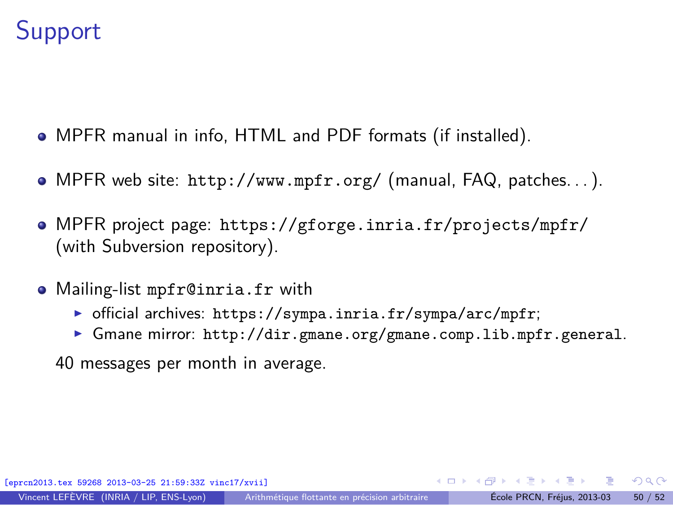## **Support**

- MPFR manual in info, HTML and PDF formats (if installed).
- MPFR web site: <http://www.mpfr.org/> (manual, FAQ, patches. . . ).
- MPFR project page: <https://gforge.inria.fr/projects/mpfr/> (with Subversion repository).
- Mailing-list mpfr@inria.fr with
	- ▶ official archives: <https://sympa.inria.fr/sympa/arc/mpfr>;
	- ▶ Gmane mirror: <http://dir.gmane.org/gmane.comp.lib.mpfr.general>.

40 messages per month in average.

<span id="page-58-0"></span> $\Omega$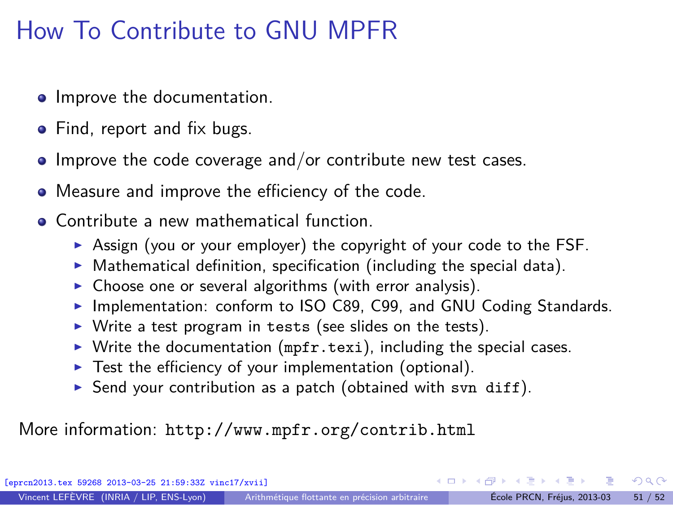## How To Contribute to GNU MPFR

- **•** Improve the documentation.
- Find, report and fix bugs.
- $\bullet$  Improve the code coverage and/or contribute new test cases.
- Measure and improve the efficiency of the code.
- **Contribute a new mathematical function.** 
	- ▶ Assign (you or your employer) the copyright of your code to the FSF.
	- $\triangleright$  Mathematical definition, specification (including the special data).
	- $\triangleright$  Choose one or several algorithms (with error analysis).
	- ▶ Implementation: conform to ISO C89, C99, and GNU Coding Standards.
	- $\triangleright$  Write a test program in tests (see slides on the tests).
	- $\triangleright$  Write the documentation (mpfr.texi), including the special cases.
	- $\blacktriangleright$  Test the efficiency of your implementation (optional).
	- Send your contribution as a patch (obtained with svn diff).

More information: <http://www.mpfr.org/contrib.html>

[eprcn2013.tex 59268 2013-03-25 21:59:33Z vinc17/xvii]

 $\Omega$ 

∢ ロ ▶ ( 何 ) ( ミ ) ( ミ )